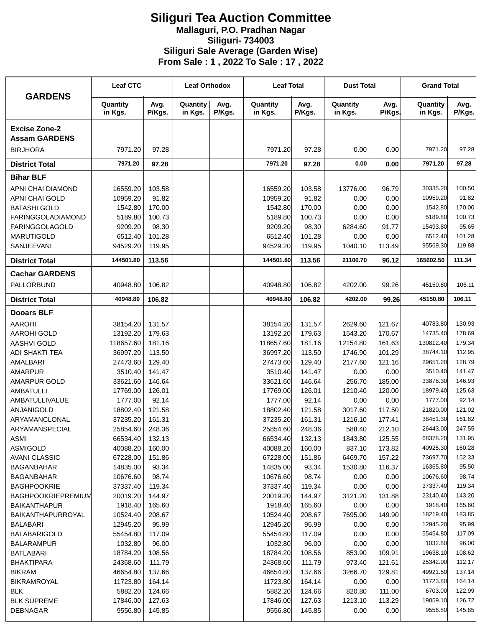## **Siliguri Tea Auction Committee Mallaguri, P.O. Pradhan Nagar Siliguri- 734003 Siliguri Sale Average (Garden Wise) From Sale : 1 , 2022 To Sale : 17 , 2022**

| <b>GARDENS</b>                            | <b>Leaf CTC</b>     |                  | <b>Leaf Orthodox</b> |                | <b>Leaf Total</b>   |                  | <b>Dust Total</b>   |                | <b>Grand Total</b>   |                 |
|-------------------------------------------|---------------------|------------------|----------------------|----------------|---------------------|------------------|---------------------|----------------|----------------------|-----------------|
|                                           | Quantity<br>in Kgs. | Avg.<br>P/Kgs.   | Quantity<br>in Kgs.  | Avg.<br>P/Kgs. | Quantity<br>in Kgs. | Avg.<br>P/Kgs.   | Quantity<br>in Kgs. | Avg.<br>P/Kgs. | Quantity<br>in Kgs.  | Avg.<br>P/Kgs.  |
| <b>Excise Zone-2</b>                      |                     |                  |                      |                |                     |                  |                     |                |                      |                 |
| <b>Assam GARDENS</b>                      |                     |                  |                      |                |                     |                  |                     |                |                      |                 |
| <b>BIRJHORA</b>                           | 7971.20             | 97.28            |                      |                | 7971.20             | 97.28            | 0.00                | 0.00           | 7971.20              | 97.28           |
| <b>District Total</b>                     | 7971.20             | 97.28            |                      |                | 7971.20             | 97.28            | 0.00                | 0.00           | 7971.20              | 97.28           |
| <b>Bihar BLF</b>                          |                     |                  |                      |                |                     |                  |                     |                |                      |                 |
| APNI CHAI DIAMOND                         | 16559.20            | 103.58           |                      |                | 16559.20            | 103.58           | 13776.00            | 96.79          | 30335.20             | 100.50          |
| <b>APNI CHAI GOLD</b>                     | 10959.20            | 91.82            |                      |                | 10959.20            | 91.82            | 0.00                | 0.00           | 10959.20             | 91.82           |
| <b>BATASHI GOLD</b>                       | 1542.80             | 170.00           |                      |                | 1542.80             | 170.00           | 0.00                | 0.00           | 1542.80              | 170.00          |
| <b>FARINGGOLADIAMOND</b>                  | 5189.80             | 100.73           |                      |                | 5189.80             | 100.73           | 0.00                | 0.00           | 5189.80              | 100.73          |
| <b>FARINGGOLAGOLD</b>                     | 9209.20             | 98.30            |                      |                | 9209.20             | 98.30            | 6284.60             | 91.77          | 15493.80             | 95.65           |
| <b>MARUTIGOLD</b>                         | 6512.40             | 101.28           |                      |                | 6512.40             | 101.28           | 0.00                | 0.00           | 6512.40              | 101.28          |
| SANJEEVANI                                | 94529.20            | 119.95           |                      |                | 94529.20            | 119.95           | 1040.10             | 113.49         | 95569.30             | 119.88          |
| <b>District Total</b>                     | 144501.80           | 113.56           |                      |                | 144501.80           | 113.56           | 21100.70            | 96.12          | 165602.50            | 111.34          |
| <b>Cachar GARDENS</b>                     |                     |                  |                      |                |                     |                  |                     |                |                      |                 |
| PALLORBUND                                | 40948.80            | 106.82           |                      |                | 40948.80            | 106.82           | 4202.00             | 99.26          | 45150.80             | 106.11          |
| <b>District Total</b>                     | 40948.80            | 106.82           |                      |                | 40948.80            | 106.82           | 4202.00             | 99.26          | 45150.80             | 106.11          |
| <b>Dooars BLF</b>                         |                     |                  |                      |                |                     |                  |                     |                |                      |                 |
| <b>AAROHI</b>                             | 38154.20            | 131.57           |                      |                | 38154.20            | 131.57           | 2629.60             | 121.67         | 40783.80             | 130.93          |
| <b>AAROHI GOLD</b>                        | 13192.20            | 179.63           |                      |                | 13192.20            | 179.63           | 1543.20             | 170.67         | 14735.40             | 178.69          |
| <b>AASHVI GOLD</b>                        | 118657.60           | 181.16           |                      |                | 118657.60           | 181.16           | 12154.80            | 161.63         | 130812.40            | 179.34          |
| ADI SHAKTI TEA                            | 36997.20            | 113.50           |                      |                | 36997.20            | 113.50           | 1746.90             | 101.29         | 38744.10             | 112.95          |
| AMALBARI                                  | 27473.60            | 129.40           |                      |                | 27473.60            | 129.40           | 2177.60             | 121.16         | 29651.20             | 128.79          |
| <b>AMARPUR</b>                            | 3510.40             | 141.47           |                      |                | 3510.40             | 141.47           | 0.00                | 0.00           | 3510.40              | 141.47          |
| AMARPUR GOLD                              | 33621.60            | 146.64           |                      |                | 33621.60            | 146.64           | 256.70              | 185.00         | 33878.30             | 146.93          |
| <b>AMBATULLI</b>                          | 17769.00            | 126.01           |                      |                | 17769.00            | 126.01           | 1210.40             | 120.00         | 18979.40             | 125.63          |
| AMBATULLIVALUE                            | 1777.00             | 92.14            |                      |                | 1777.00             | 92.14            | 0.00                | 0.00           | 1777.00              | 92.14           |
| ANJANIGOLD                                | 18802.40            | 121.58           |                      |                | 18802.40            | 121.58           | 3017.60             | 117.50         | 21820.00             | 121.02          |
| ARYAMANCLONAL                             | 37235.20            | 161.31           |                      |                | 37235.20            | 161.31           | 1216.10             | 177.41         | 38451.30             | 161.82          |
| ARYAMANSPECIAL                            | 25854.60            | 248.36           |                      |                | 25854.60            | 248.36           | 588.40              | 212.10         | 26443.00             | 247.55          |
| ASMI                                      | 66534.40            | 132.13           |                      |                | 66534.40            | 132.13           | 1843.80             | 125.55         | 68378.20             | 131.95          |
| <b>ASMIGOLD</b>                           | 40088.20            | 160.00           |                      |                | 40088.20            | 160.00           | 837.10              | 173.82         | 40925.30             | 160.28          |
| <b>AVANI CLASSIC</b>                      | 67228.00            | 151.86           |                      |                | 67228.00            | 151.86           | 6469.70             | 157.22         | 73697.70             | 152.33          |
| <b>BAGANBAHAR</b>                         | 14835.00            | 93.34            |                      |                | 14835.00            | 93.34            | 1530.80             | 116.37         | 16365.80             | 95.50           |
| <b>BAGANBAHAR</b>                         | 10676.60            | 98.74            |                      |                | 10676.60            | 98.74            | 0.00                | 0.00           | 10676.60<br>37337.40 | 98.74<br>119.34 |
| <b>BAGHPOOKRIE</b>                        | 37337.40            | 119.34           |                      |                | 37337.40            | 119.34           | 0.00                | 0.00           | 23140.40             | 143.20          |
| BAGHPOOKRIEPREMIUM<br><b>BAIKANTHAPUR</b> | 20019.20<br>1918.40 | 144.97<br>165.60 |                      |                | 20019.20<br>1918.40 | 144.97<br>165.60 | 3121.20<br>0.00     | 131.88         | 1918.40              | 165.60          |
| <b>BAIKANTHAPURROYAL</b>                  | 10524.40            | 208.67           |                      |                | 10524.40            | 208.67           | 7695.00             | 0.00<br>149.90 | 18219.40             | 183.85          |
| <b>BALABARI</b>                           | 12945.20            | 95.99            |                      |                | 12945.20            | 95.99            | 0.00                | 0.00           | 12945.20             | 95.99           |
| <b>BALABARIGOLD</b>                       | 55454.80            | 117.09           |                      |                | 55454.80            | 117.09           | 0.00                | 0.00           | 55454.80             | 117.09          |
| <b>BALARAMPUR</b>                         | 1032.80             | 96.00            |                      |                | 1032.80             | 96.00            | 0.00                | 0.00           | 1032.80              | 96.00           |
| <b>BATLABARI</b>                          | 18784.20            | 108.56           |                      |                | 18784.20            | 108.56           | 853.90              | 109.91         | 19638.10             | 108.62          |
| <b>BHAKTIPARA</b>                         | 24368.60            | 111.79           |                      |                | 24368.60            | 111.79           | 973.40              | 121.61         | 25342.00             | 112.17          |
| <b>BIKRAM</b>                             | 46654.80            | 137.66           |                      |                | 46654.80            | 137.66           | 3266.70             | 129.81         | 49921.50             | 137.14          |
| <b>BIKRAMROYAL</b>                        | 11723.80            | 164.14           |                      |                | 11723.80            | 164.14           | 0.00                | 0.00           | 11723.80             | 164.14          |
| <b>BLK</b>                                | 5882.20             | 124.66           |                      |                | 5882.20             | 124.66           | 820.80              | 111.00         | 6703.00              | 122.99          |
| <b>BLK SUPREME</b>                        | 17846.00            | 127.63           |                      |                | 17846.00            | 127.63           | 1213.10             | 113.29         | 19059.10             | 126.72          |
| <b>DEBNAGAR</b>                           | 9556.80             | 145.85           |                      |                | 9556.80             | 145.85           | 0.00                | 0.00           | 9556.80              | 145.85          |
|                                           |                     |                  |                      |                |                     |                  |                     |                |                      |                 |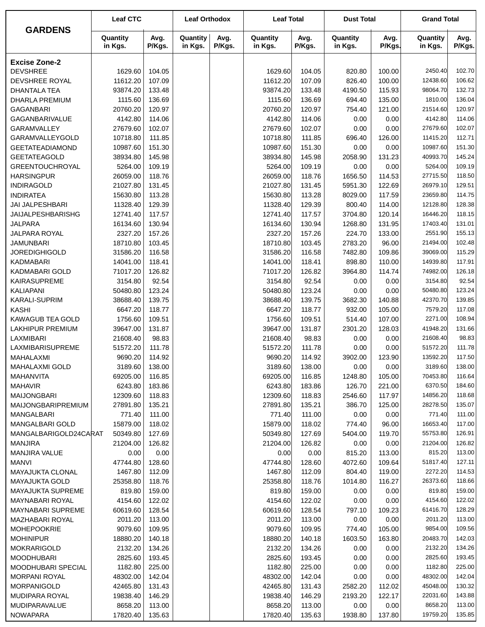|                           | <b>Leaf CTC</b>     |                | <b>Leaf Orthodox</b> |                | <b>Leaf Total</b>   |                | <b>Dust Total</b>   |                | <b>Grand Total</b>  |                |
|---------------------------|---------------------|----------------|----------------------|----------------|---------------------|----------------|---------------------|----------------|---------------------|----------------|
| <b>GARDENS</b>            | Quantity<br>in Kgs. | Avg.<br>P/Kgs. | Quantity<br>in Kgs.  | Avg.<br>P/Kgs. | Quantity<br>in Kgs. | Avg.<br>P/Kgs. | Quantity<br>in Kgs. | Avg.<br>P/Kgs. | Quantity<br>in Kgs. | Avg.<br>P/Kgs. |
| <b>Excise Zone-2</b>      |                     |                |                      |                |                     |                |                     |                |                     |                |
| <b>DEVSHREE</b>           | 1629.60             | 104.05         |                      |                | 1629.60             | 104.05         | 820.80              | 100.00         | 2450.40             | 102.70         |
| DEVSHREE ROYAL            | 11612.20            | 107.09         |                      |                | 11612.20            | 107.09         | 826.40              | 100.00         | 12438.60            | 106.62         |
| <b>DHANTALA TEA</b>       | 93874.20            | 133.48         |                      |                | 93874.20            | 133.48         | 4190.50             | 115.93         | 98064.70            | 132.73         |
| <b>DHARLA PREMIUM</b>     | 1115.60             | 136.69         |                      |                | 1115.60             | 136.69         | 694.40              | 135.00         | 1810.00             | 136.04         |
| <b>GAGANBARI</b>          | 20760.20            | 120.97         |                      |                | 20760.20            | 120.97         | 754.40              | 121.00         | 21514.60            | 120.97         |
| GAGANBARIVALUE            | 4142.80             | 114.06         |                      |                | 4142.80             | 114.06         | 0.00                | 0.00           | 4142.80             | 114.06         |
| GARAMVALLEY               | 27679.60            | 102.07         |                      |                | 27679.60            | 102.07         | 0.00                | 0.00           | 27679.60            | 102.07         |
| GARAMVALLEYGOLD           | 10718.80            | 111.85         |                      |                | 10718.80            | 111.85         | 696.40              | 126.00         | 11415.20            | 112.71         |
| <b>GEETATEADIAMOND</b>    | 10987.60            | 151.30         |                      |                | 10987.60            | 151.30         | 0.00                | 0.00           | 10987.60            | 151.30         |
| <b>GEETATEAGOLD</b>       | 38934.80            | 145.98         |                      |                | 38934.80            | 145.98         | 2058.90             | 131.23         | 40993.70            | 145.24         |
| <b>GREENTOUCHROYAL</b>    | 5264.00             | 109.19         |                      |                | 5264.00             | 109.19         | 0.00                | 0.00           | 5264.00             | 109.19         |
| <b>HARSINGPUR</b>         | 26059.00            | 118.76         |                      |                | 26059.00            | 118.76         | 1656.50             | 114.53         | 27715.50            | 118.50         |
| <b>INDIRAGOLD</b>         | 21027.80            | 131.45         |                      |                | 21027.80            | 131.45         | 5951.30             | 122.69         | 26979.10            | 129.51         |
| <b>INDIRATEA</b>          | 15630.80            | 113.28         |                      |                | 15630.80            | 113.28         | 8029.00             | 117.59         | 23659.80            | 114.75         |
| JAI JALPESHBARI           | 11328.40            | 129.39         |                      |                | 11328.40            | 129.39         | 800.40              | 114.00         | 12128.80            | 128.38         |
| <b>JAIJALPESHBARISHG</b>  | 12741.40            | 117.57         |                      |                | 12741.40            | 117.57         | 3704.80             | 120.14         | 16446.20            | 118.15         |
| <b>JALPARA</b>            | 16134.60            | 130.94         |                      |                | 16134.60            | 130.94         | 1268.80             | 131.95         | 17403.40            | 131.01         |
| <b>JALPARA ROYAL</b>      | 2327.20             | 157.26         |                      |                | 2327.20             | 157.26         | 224.70              | 133.00         | 2551.90             | 155.13         |
| <b>JAMUNBARI</b>          | 18710.80            | 103.45         |                      |                | 18710.80            | 103.45         | 2783.20             | 96.00          | 21494.00            | 102.48         |
| <b>JOREDIGHIGOLD</b>      | 31586.20            | 116.58         |                      |                | 31586.20            | 116.58         | 7482.80             | 109.86         | 39069.00            | 115.29         |
| <b>KADMABARI</b>          | 14041.00            | 118.41         |                      |                | 14041.00            | 118.41         | 898.80              | 110.00         | 14939.80            | 117.91         |
| KADMABARI GOLD            | 71017.20            | 126.82         |                      |                | 71017.20            | 126.82         | 3964.80             | 114.74         | 74982.00            | 126.18         |
| <b>KAIRASUPREME</b>       | 3154.80             | 92.54          |                      |                | 3154.80             | 92.54          | 0.00                | 0.00           | 3154.80             | 92.54          |
| <b>KALIAPANI</b>          | 50480.80            | 123.24         |                      |                | 50480.80            | 123.24         | 0.00                | 0.00           | 50480.80            | 123.24         |
| <b>KARALI-SUPRIM</b>      | 38688.40            | 139.75         |                      |                | 38688.40            | 139.75         | 3682.30             | 140.88         | 42370.70            | 139.85         |
| <b>KASHI</b>              | 6647.20             | 118.77         |                      |                | 6647.20             | 118.77         | 932.00              | 105.00         | 7579.20             | 117.08         |
| <b>KAWAGUB TEA GOLD</b>   | 1756.60             | 109.51         |                      |                | 1756.60             | 109.51         | 514.40              | 107.00         | 2271.00             | 108.94         |
| <b>LAKHIPUR PREMIUM</b>   | 39647.00            | 131.87         |                      |                | 39647.00            | 131.87         | 2301.20             | 128.03         | 41948.20            | 131.66         |
| LAXMIBARI                 | 21608.40            | 98.83          |                      |                | 21608.40            | 98.83          | 0.00                | 0.00           | 21608.40            | 98.83          |
| LAXMIBARISUPREME          | 51572.20            | 111.78         |                      |                | 51572.20            | 111.78         | 0.00                | 0.00           | 51572.20            | 111.78         |
| MAHALAXMI                 | 9690.20             | 114.92         |                      |                | 9690.20             | 114.92         | 3902.00             | 123.90         | 13592.20            | 117.50         |
| MAHALAXMI GOLD            | 3189.60             | 138.00         |                      |                | 3189.60             | 138.00         | 0.00                | 0.00           | 3189.60             | 138.00         |
| MAHANVITA                 | 69205.00            | 116.85         |                      |                | 69205.00            | 116.85         | 1248.80             | 105.00         | 70453.80            | 116.64         |
| <b>MAHAVIR</b>            | 6243.80             | 183.86         |                      |                | 6243.80             | 183.86         | 126.70              | 221.00         | 6370.50             | 184.60         |
| <b>MAIJONGBARI</b>        | 12309.60            | 118.83         |                      |                | 12309.60            | 118.83         | 2546.60             | 117.97         | 14856.20            | 118.68         |
| <b>MAIJONGBARIPREMIUM</b> | 27891.80            | 135.21         |                      |                | 27891.80            | 135.21         | 386.70              | 125.00         | 28278.50            | 135.07         |
| MANGALBARI                | 771.40              | 111.00         |                      |                | 771.40              | 111.00         | 0.00                | 0.00           | 771.40              | 111.00         |
| MANGALBARI GOLD           | 15879.00            | 118.02         |                      |                | 15879.00            | 118.02         | 774.40              | 96.00          | 16653.40            | 117.00         |
| MANGALBARIGOLD24CARAT     | 50349.80            | 127.69         |                      |                | 50349.80            | 127.69         | 5404.00             | 119.70         | 55753.80            | 126.91         |
| <b>MANJIRA</b>            | 21204.00            | 126.82         |                      |                | 21204.00            | 126.82         | 0.00                | 0.00           | 21204.00            | 126.82         |
| <b>MANJIRA VALUE</b>      | 0.00                | 0.00           |                      |                | 0.00                | 0.00           | 815.20              | 113.00         | 815.20              | 113.00         |
| <b>MANVI</b>              | 47744.80            | 128.60         |                      |                | 47744.80            | 128.60         | 4072.60             | 109.64         | 51817.40            | 127.11         |
| MAYAJUKTA CLONAL          | 1467.80             | 112.09         |                      |                | 1467.80             | 112.09         | 804.40              | 119.00         | 2272.20             | 114.53         |
| <b>MAYAJUKTA GOLD</b>     | 25358.80            | 118.76         |                      |                | 25358.80            | 118.76         | 1014.80             | 116.27         | 26373.60            | 118.66         |
| <b>MAYAJUKTA SUPREME</b>  | 819.80              | 159.00         |                      |                | 819.80              | 159.00         | 0.00                | 0.00           | 819.80              | 159.00         |
| MAYNABARI ROYAL           | 4154.60             | 122.02         |                      |                | 4154.60             | 122.02         | 0.00                | 0.00           | 4154.60             | 122.02         |
| <b>MAYNABARI SUPREME</b>  | 60619.60            | 128.54         |                      |                | 60619.60            | 128.54         | 797.10              | 109.23         | 61416.70            | 128.29         |
| MAZHABARI ROYAL           | 2011.20             | 113.00         |                      |                | 2011.20             | 113.00         | 0.00                | 0.00           | 2011.20             | 113.00         |
| <b>MOHEPOOKRIE</b>        | 9079.60             | 109.95         |                      |                | 9079.60             | 109.95         | 774.40              | 105.00         | 9854.00             | 109.56         |
| <b>MOHINIPUR</b>          | 18880.20            | 140.18         |                      |                | 18880.20            | 140.18         | 1603.50             | 163.80         | 20483.70            | 142.03         |
| MOKRARIGOLD               | 2132.20             | 134.26         |                      |                | 2132.20             | 134.26         | 0.00                | 0.00           | 2132.20             | 134.26         |
| <b>MOODHUBARI</b>         | 2825.60             | 193.45         |                      |                | 2825.60             | 193.45         | 0.00                | 0.00           | 2825.60             | 193.45         |
| MOODHUBARI SPECIAL        | 1182.80             | 225.00         |                      |                | 1182.80             | 225.00         | 0.00                | 0.00           | 1182.80             | 225.00         |
| <b>MORPANI ROYAL</b>      | 48302.00            | 142.04         |                      |                | 48302.00            | 142.04         | 0.00                | 0.00           | 48302.00            | 142.04         |
| MORPANIGOLD               | 42465.80            | 131.43         |                      |                | 42465.80            | 131.43         | 2582.20             | 112.02         | 45048.00            | 130.32         |
| MUDIPARA ROYAL            | 19838.40            | 146.29         |                      |                | 19838.40            | 146.29         | 2193.20             | 122.17         | 22031.60            | 143.88         |
| MUDIPARAVALUE             | 8658.20             | 113.00         |                      |                | 8658.20             | 113.00         | 0.00                | 0.00           | 8658.20             | 113.00         |
| <b>NOWAPARA</b>           | 17820.40            | 135.63         |                      |                | 17820.40            | 135.63         | 1938.80             | 137.80         | 19759.20            | 135.85         |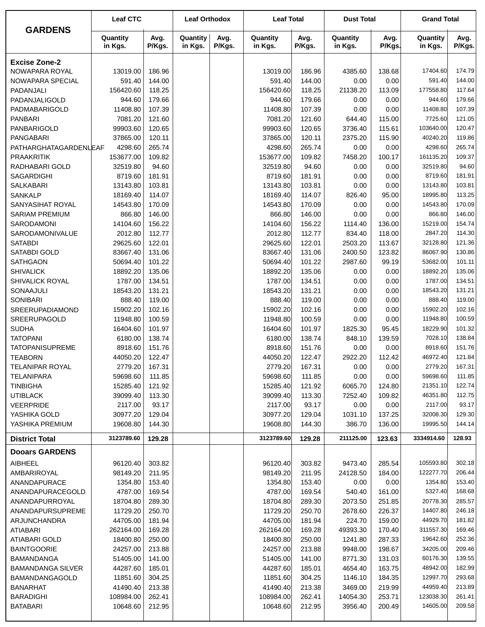| <b>GARDENS</b>                                    | <b>Leaf CTC</b>        |                  | <b>Leaf Orthodox</b> |                | <b>Leaf Total</b>    |                  | <b>Dust Total</b>   |                  | <b>Grand Total</b>     |                  |
|---------------------------------------------------|------------------------|------------------|----------------------|----------------|----------------------|------------------|---------------------|------------------|------------------------|------------------|
|                                                   | Quantity<br>in Kgs.    | Avg.<br>P/Kgs.   | Quantity<br>in Kgs.  | Avg.<br>P/Kgs. | Quantity<br>in Kgs.  | Avg.<br>P/Kgs.   | Quantity<br>in Kgs. | Avg.<br>P/Kgs.   | Quantity<br>in Kgs.    | Avg.<br>P/Kgs.   |
| <b>Excise Zone-2</b>                              |                        |                  |                      |                |                      |                  |                     |                  |                        |                  |
| NOWAPARA ROYAL                                    | 13019.00               | 186.96           |                      |                | 13019.00             | 186.96           | 4385.60             | 138.68           | 17404.60               | 174.79           |
| NOWAPARA SPECIAL                                  | 591.40                 | 144.00           |                      |                | 591.40               | 144.00           | 0.00                | 0.00             | 591.40                 | 144.00           |
| PADANJALI                                         | 156420.60              | 118.25           |                      |                | 156420.60            | 118.25           | 21138.20            | 113.09           | 177558.80              | 117.64           |
| PADANJALIGOLD                                     | 944.60                 | 179.66           |                      |                | 944.60               | 179.66           | 0.00                | 0.00             | 944.60                 | 179.66           |
| <b>PADMABARIGOLD</b>                              | 11408.80               | 107.39           |                      |                | 11408.80             | 107.39           | 0.00                | 0.00             | 11408.80               | 107.39           |
| <b>PANBARI</b>                                    | 7081.20                | 121.60           |                      |                | 7081.20              | 121.60           | 644.40              | 115.00           | 7725.60                | 121.05           |
| PANBARIGOLD                                       | 99903.60               | 120.65           |                      |                | 99903.60             | 120.65           | 3736.40             | 115.61           | 103640.00              | 120.47           |
| <b>PANGABARI</b>                                  | 37865.00               | 120.11           |                      |                | 37865.00             | 120.11           | 2375.20             | 115.90           | 40240.20               | 119.86           |
| PATHARGHATAGARDENLEAF                             | 4298.60                | 265.74           |                      |                | 4298.60              | 265.74           | 0.00                | 0.00             | 4298.60                | 265.74           |
| <b>PRAAKRITIK</b>                                 | 153677.00              | 109.82           |                      |                | 153677.00            | 109.82           | 7458.20             | 100.17           | 161135.20              | 109.37           |
| RADHABARI GOLD                                    | 32519.80               | 94.60            |                      |                | 32519.80             | 94.60            | 0.00                | 0.00             | 32519.80               | 94.60            |
| <b>SAGARDIGHI</b><br>SALKABARI                    | 8719.60<br>13143.80    | 181.91<br>103.81 |                      |                | 8719.60<br>13143.80  | 181.91<br>103.81 | 0.00<br>0.00        | 0.00<br>0.00     | 8719.60<br>13143.80    | 181.91<br>103.81 |
| <b>SANKALP</b>                                    | 18169.40               | 114.07           |                      |                | 18169.40             | 114.07           | 826.40              | 95.00            | 18995.80               | 113.25           |
| SANYASIHAT ROYAL                                  | 14543.80               | 170.09           |                      |                | 14543.80             | 170.09           | 0.00                | 0.00             | 14543.80               | 170.09           |
| <b>SARIAM PREMIUM</b>                             | 866.80                 | 146.00           |                      |                | 866.80               | 146.00           | 0.00                | 0.00             | 866.80                 | 146.00           |
| SARODAMONI                                        | 14104.60               | 156.22           |                      |                | 14104.60             | 156.22           | 1114.40             | 136.00           | 15219.00               | 154.74           |
| SARODAMONIVALUE                                   | 2012.80                | 112.77           |                      |                | 2012.80              | 112.77           | 834.40              | 118.00           | 2847.20                | 114.30           |
| <b>SATABDI</b>                                    | 29625.60               | 122.01           |                      |                | 29625.60             | 122.01           | 2503.20             | 113.67           | 32128.80               | 121.36           |
| SATABDI GOLD                                      | 83667.40               | 131.06           |                      |                | 83667.40             | 131.06           | 2400.50             | 123.82           | 86067.90               | 130.86           |
| <b>SATHGAON</b>                                   | 50694.40               | 101.22           |                      |                | 50694.40             | 101.22           | 2987.60             | 99.19            | 53682.00               | 101.11           |
| <b>SHIVALICK</b>                                  | 18892.20               | 135.06           |                      |                | 18892.20             | 135.06           | 0.00                | 0.00             | 18892.20               | 135.06           |
| <b>SHIVALICK ROYAL</b>                            | 1787.00                | 134.51           |                      |                | 1787.00              | 134.51           | 0.00                | 0.00             | 1787.00                | 134.51           |
| SONAAJULI                                         | 18543.20               | 131.21           |                      |                | 18543.20             | 131.21           | 0.00                | 0.00             | 18543.20               | 131.21           |
| <b>SONIBARI</b>                                   | 888.40                 | 119.00           |                      |                | 888.40               | 119.00           | 0.00                | 0.00             | 888.40                 | 119.00           |
| <b>SREERUPADIAMOND</b>                            | 15902.20               | 102.16           |                      |                | 15902.20             | 102.16           | 0.00                | 0.00             | 15902.20               | 102.16           |
| SREERUPAGOLD                                      | 11948.80               | 100.59           |                      |                | 11948.80             | 100.59           | 0.00                | 0.00             | 11948.80               | 100.59           |
| <b>SUDHA</b>                                      | 16404.60               | 101.97           |                      |                | 16404.60             | 101.97           | 1825.30             | 95.45            | 18229.90               | 101.32           |
| <b>TATOPANI</b>                                   | 6180.00                | 138.74           |                      |                | 6180.00              | 138.74           | 848.10              | 139.59           | 7028.10                | 138.84           |
| <b>TATOPANISUPREME</b>                            | 8918.60                | 151.76           |                      |                | 8918.60              | 151.76           | 0.00                | 0.00             | 8918.60                | 151.76           |
| <b>TEABORN</b>                                    | 44050.20               | 122.47           |                      |                | 44050.20             | 122.47           | 2922.20             | 112.42           | 46972.40               | 121.84           |
| TELANIPAR ROYAL                                   | 2779.20                | 167.31           |                      |                | 2779.20              | 167.31           | 0.00                | 0.00             | 2779.20                | 167.31           |
| <b>TELANIPARA</b>                                 | 59698.60               | 111.85           |                      |                | 59698.60             | 111.85           | 0.00                | 0.00             | 59698.60               | 111.85           |
| <b>TINBIGHA</b>                                   | 15285.40               | 121.92           |                      |                | 15285.40             | 121.92           | 6065.70             | 124.80           | 21351.10               | 122.74           |
| <b>UTIBLACK</b>                                   | 39099.40               | 113.30           |                      |                | 39099.40             | 113.30           | 7252.40             | 109.82           | 46351.80               | 112.75           |
| <b>VEERPRIDE</b>                                  | 2117.00                | 93.17            |                      |                | 2117.00              | 93.17            | 0.00                | 0.00             | 2117.00                | 93.17            |
| YASHIKA GOLD                                      | 30977.20               | 129.04           |                      |                | 30977.20             | 129.04           | 1031.10             | 137.25           | 32008.30               | 129.30           |
| YASHIKA PREMIUM                                   | 19608.80<br>3123789.60 | 144.30           |                      |                | 19608.80             | 144.30           | 386.70              | 136.00           | 19995.50<br>3334914.60 | 144.14<br>128.93 |
| <b>District Total</b>                             |                        | 129.28           |                      |                | 3123789.60           | 129.28           | 211125.00           | 123.63           |                        |                  |
| <b>Dooars GARDENS</b>                             |                        |                  |                      |                |                      |                  |                     |                  |                        |                  |
| AIBHEEL                                           | 96120.40               | 303.82           |                      |                | 96120.40             | 303.82           | 9473.40             | 285.54           | 105593.80              | 302.18           |
| AMBARIROYAL                                       | 98149.20               | 211.95           |                      |                | 98149.20             | 211.95           | 24128.50            | 184.00           | 122277.70              | 206.44           |
| ANANDAPURACE                                      | 1354.80                | 153.40           |                      |                | 1354.80              | 153.40           | 0.00                | 0.00             | 1354.80                | 153.40           |
| ANANDAPURACEGOLD                                  | 4787.00                | 169.54           |                      |                | 4787.00              | 169.54           | 540.40              | 161.00           | 5327.40                | 168.68           |
| ANANDAPURROYAL                                    | 18704.80               | 289.30           |                      |                | 18704.80             | 289.30           | 2073.50             | 251.85           | 20778.30               | 285.57           |
| ANANDAPURSUPREME                                  | 11729.20               | 250.70           |                      |                | 11729.20             | 250.70           | 2678.60             | 226.37           | 14407.80               | 246.18           |
| ARJUNCHANDRA                                      | 44705.00               | 181.94           |                      |                | 44705.00             | 181.94           | 224.70              | 159.00           | 44929.70               | 181.82           |
| <b>ATIABARI</b>                                   | 262164.00              | 169.28           |                      |                | 262164.00            | 169.28           | 49393.30            | 170.40           | 311557.30              | 169.46           |
| ATIABARI GOLD                                     | 18400.80               | 250.00           |                      |                | 18400.80             | 250.00           | 1241.80             | 287.33           | 19642.60               | 252.36           |
| <b>BAINTGOORIE</b>                                | 24257.00               | 213.88           |                      |                | 24257.00             | 213.88           | 9948.00             | 198.67           | 34205.00               | 209.46           |
| BAMANDANGA                                        | 51405.00<br>44287.60   | 141.00           |                      |                | 51405.00<br>44287.60 | 141.00           | 8771.30             | 131.03           | 60176.30<br>48942.00   | 139.55<br>182.99 |
| <b>BAMANDANGA SILVER</b><br><b>BAMANDANGAGOLD</b> | 11851.60               | 185.01<br>304.25 |                      |                | 11851.60             | 185.01<br>304.25 | 4654.40<br>1146.10  | 163.75<br>184.35 | 12997.70               | 293.68           |
| <b>BANARHAT</b>                                   | 41490.40               | 213.38           |                      |                | 41490.40             | 213.38           | 3469.00             | 219.99           | 44959.40               | 213.89           |
| <b>BARADIGHI</b>                                  | 108984.00              | 262.41           |                      |                | 108984.00            | 262.41           | 14054.30            | 253.71           | 123038.30              | 261.41           |
| <b>BATABARI</b>                                   | 10648.60               | 212.95           |                      |                | 10648.60             | 212.95           | 3956.40             | 200.49           | 14605.00               | 209.58           |
|                                                   |                        |                  |                      |                |                      |                  |                     |                  |                        |                  |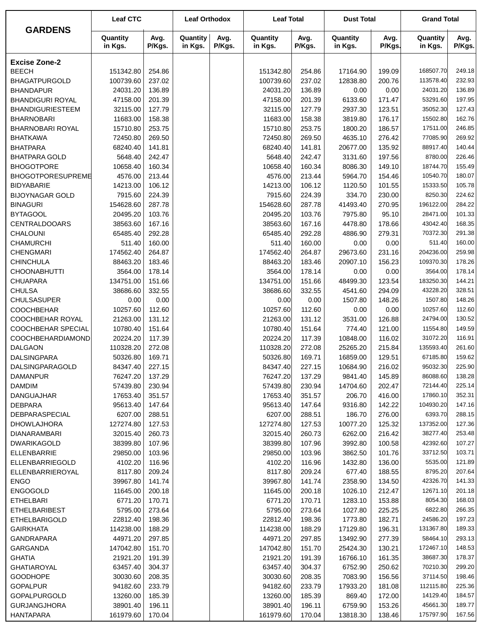|                         | <b>Leaf CTC</b>     |                | <b>Leaf Orthodox</b> |                | <b>Leaf Total</b>   |                | <b>Dust Total</b>   |                | <b>Grand Total</b>  |                |
|-------------------------|---------------------|----------------|----------------------|----------------|---------------------|----------------|---------------------|----------------|---------------------|----------------|
| <b>GARDENS</b>          | Quantity<br>in Kgs. | Avg.<br>P/Kgs. | Quantity<br>in Kgs.  | Avg.<br>P/Kgs. | Quantity<br>in Kgs. | Avg.<br>P/Kgs. | Quantity<br>in Kgs. | Avg.<br>P/Kgs. | Quantity<br>in Kgs. | Avg.<br>P/Kgs. |
| <b>Excise Zone-2</b>    |                     |                |                      |                |                     |                |                     |                |                     |                |
| <b>BEECH</b>            | 151342.80           | 254.86         |                      |                | 151342.80           | 254.86         | 17164.90            | 199.09         | 168507.70           | 249.18         |
| <b>BHAGATPURGOLD</b>    | 100739.60           | 237.02         |                      |                | 100739.60           | 237.02         | 12838.80            | 200.76         | 113578.40           | 232.93         |
| <b>BHANDAPUR</b>        | 24031.20            | 136.89         |                      |                | 24031.20            | 136.89         | 0.00                | 0.00           | 24031.20            | 136.89         |
| <b>BHANDIGURI ROYAL</b> | 47158.00            | 201.39         |                      |                | 47158.00            | 201.39         | 6133.60             | 171.47         | 53291.60            | 197.95         |
| <b>BHANDIGURIESTEEM</b> | 32115.00            | 127.79         |                      |                | 32115.00            | 127.79         | 2937.30             | 123.51         | 35052.30            | 127.43         |
| <b>BHARNOBARI</b>       | 11683.00            | 158.38         |                      |                | 11683.00            | 158.38         | 3819.80             | 176.17         | 15502.80            | 162.76         |
| BHARNOBARI ROYAL        | 15710.80            | 253.75         |                      |                | 15710.80            | 253.75         | 1800.20             | 186.57         | 17511.00            | 246.85         |
| <b>BHATKAWA</b>         | 72450.80            | 269.50         |                      |                | 72450.80            | 269.50         | 4635.10             | 276.42         | 77085.90            | 269.92         |
| <b>BHATPARA</b>         | 68240.40            | 141.81         |                      |                | 68240.40            | 141.81         | 20677.00            | 135.92         | 88917.40            | 140.44         |
| <b>BHATPARA GOLD</b>    | 5648.40             | 242.47         |                      |                | 5648.40             | 242.47         | 3131.60             | 197.56         | 8780.00             | 226.46         |
| <b>BHOGOTPORE</b>       | 10658.40            | 160.34         |                      |                | 10658.40            | 160.34         | 8086.30             | 149.10         | 18744.70            | 155.49         |
| BHOGOTPORESUPREME       | 4576.00             | 213.44         |                      |                | 4576.00             | 213.44         | 5964.70             | 154.46         | 10540.70            | 180.07         |
| <b>BIDYABARIE</b>       | 14213.00            | 106.12         |                      |                | 14213.00            | 106.12         | 1120.50             | 101.55         | 15333.50            | 105.78         |
| <b>BIJOYNAGAR GOLD</b>  | 7915.60             | 224.39         |                      |                | 7915.60             | 224.39         | 334.70              | 230.00         | 8250.30             | 224.62         |
| <b>BINAGURI</b>         | 154628.60           | 287.78         |                      |                | 154628.60           | 287.78         | 41493.40            | 270.95         | 196122.00           | 284.22         |
| <b>BYTAGOOL</b>         | 20495.20            | 103.76         |                      |                | 20495.20            | 103.76         | 7975.80             | 95.10          | 28471.00            | 101.33         |
| <b>CENTRALDOOARS</b>    | 38563.60            | 167.16         |                      |                | 38563.60            | 167.16         | 4478.80             | 178.66         | 43042.40            | 168.35         |
|                         |                     |                |                      |                |                     | 292.28         |                     |                | 70372.30            | 291.38         |
| CHALOUNI                | 65485.40            | 292.28         |                      |                | 65485.40            |                | 4886.90             | 279.31         |                     |                |
| <b>CHAMURCHI</b>        | 511.40              | 160.00         |                      |                | 511.40              | 160.00         | 0.00                | 0.00           | 511.40              | 160.00         |
| <b>CHENGMARI</b>        | 174562.40           | 264.87         |                      |                | 174562.40           | 264.87         | 29673.60            | 231.16         | 204236.00           | 259.98         |
| <b>CHINCHULA</b>        | 88463.20            | 183.46         |                      |                | 88463.20            | 183.46         | 20907.10            | 156.23         | 109370.30           | 178.26         |
| <b>CHOONABHUTTI</b>     | 3564.00             | 178.14         |                      |                | 3564.00             | 178.14         | 0.00                | 0.00           | 3564.00             | 178.14         |
| <b>CHUAPARA</b>         | 134751.00           | 151.66         |                      |                | 134751.00           | 151.66         | 48499.30            | 123.54         | 183250.30           | 144.21         |
| <b>CHULSA</b>           | 38686.60            | 332.55         |                      |                | 38686.60            | 332.55         | 4541.60             | 294.09         | 43228.20            | 328.51         |
| <b>CHULSASUPER</b>      | 0.00                | 0.00           |                      |                | 0.00                | 0.00           | 1507.80             | 148.26         | 1507.80             | 148.26         |
| <b>COOCHBEHAR</b>       | 10257.60            | 112.60         |                      |                | 10257.60            | 112.60         | 0.00                | 0.00           | 10257.60            | 112.60         |
| COOCHBEHAR ROYAL        | 21263.00            | 131.12         |                      |                | 21263.00            | 131.12         | 3531.00             | 126.88         | 24794.00            | 130.52         |
| COOCHBEHAR SPECIAL      | 10780.40            | 151.64         |                      |                | 10780.40            | 151.64         | 774.40              | 121.00         | 11554.80            | 149.59         |
| COOCHBEHARDIAMOND       | 20224.20            | 117.39         |                      |                | 20224.20            | 117.39         | 10848.00            | 116.02         | 31072.20            | 116.91         |
| <b>DALGAON</b>          | 110328.20           | 272.08         |                      |                | 110328.20           | 272.08         | 25265.20            | 215.84         | 135593.40           | 261.60         |
| <b>DALSINGPARA</b>      | 50326.80            | 169.71         |                      |                | 50326.80            | 169.71         | 16859.00            | 129.51         | 67185.80            | 159.62         |
| DALSINGPARAGOLD         | 84347.40            | 227.15         |                      |                | 84347.40            | 227.15         | 10684.90            | 216.02         | 95032.30            | 225.90         |
| DAMANPUR                | 76247.20            | 137.29         |                      |                | 76247.20            | 137.29         | 9841.40             | 145.89         | 86088.60            | 138.28         |
| <b>DAMDIM</b>           | 57439.80            | 230.94         |                      |                | 57439.80            | 230.94         | 14704.60            | 202.47         | 72144.40            | 225.14         |
| <b>DANGUAJHAR</b>       | 17653.40            | 351.57         |                      |                | 17653.40            | 351.57         | 206.70              | 416.00         | 17860.10            | 352.31         |
| <b>DEBPARA</b>          | 95613.40            | 147.64         |                      |                | 95613.40            | 147.64         | 9316.80             | 142.22         | 104930.20           | 147.16         |
| DEBPARASPECIAL          | 6207.00             | 288.51         |                      |                | 6207.00             | 288.51         | 186.70              | 276.00         | 6393.70             | 288.15         |
| <b>DHOWLAJHORA</b>      | 127274.80           | 127.53         |                      |                | 127274.80           | 127.53         | 10077.20            | 125.32         | 137352.00           | 127.36         |
| <b>DIANARAMBARI</b>     | 32015.40            | 260.73         |                      |                | 32015.40            | 260.73         | 6262.00             | 216.42         | 38277.40            | 253.48         |
| DWARIKAGOLD             | 38399.80            | 107.96         |                      |                | 38399.80            | 107.96         | 3992.80             | 100.58         | 42392.60            | 107.27         |
| ELLENBARRIE             | 29850.00            | 103.96         |                      |                | 29850.00            | 103.96         | 3862.50             | 101.76         | 33712.50            | 103.71         |
| ELLENBARRIEGOLD         | 4102.20             | 116.96         |                      |                | 4102.20             | 116.96         | 1432.80             | 136.00         | 5535.00             | 121.89         |
| ELLENBARRIEROYAL        | 8117.80             | 209.24         |                      |                | 8117.80             | 209.24         | 677.40              | 188.55         | 8795.20             | 207.64         |
| <b>ENGO</b>             | 39967.80            | 141.74         |                      |                | 39967.80            | 141.74         | 2358.90             | 134.50         | 42326.70            | 141.33         |
| <b>ENGOGOLD</b>         | 11645.00            | 200.18         |                      |                | 11645.00            | 200.18         | 1026.10             | 212.47         | 12671.10            | 201.18         |
| <b>ETHELBARI</b>        | 6771.20             | 170.71         |                      |                | 6771.20             | 170.71         | 1283.10             | 153.88         | 8054.30             | 168.03         |
| <b>ETHELBARIBEST</b>    | 5795.00             | 273.64         |                      |                | 5795.00             | 273.64         | 1027.80             | 225.25         | 6822.80             | 266.35         |
| ETHELBARIGOLD           | 22812.40            | 198.36         |                      |                | 22812.40            | 198.36         | 1773.80             | 182.71         | 24586.20            | 197.23         |
| <b>GAIRKHATA</b>        | 114238.00           | 188.29         |                      |                | 114238.00           | 188.29         | 17129.80            | 196.31         | 131367.80           | 189.33         |
| GANDRAPARA              | 44971.20            | 297.85         |                      |                | 44971.20            | 297.85         | 13492.90            | 277.39         | 58464.10            | 293.13         |
| GARGANDA                | 147042.80           | 151.70         |                      |                | 147042.80           | 151.70         | 25424.30            | 130.21         | 172467.10           | 148.53         |
| <b>GHATIA</b>           | 21921.20            | 191.39         |                      |                | 21921.20            | 191.39         | 16766.10            | 161.35         | 38687.30            | 178.37         |
| GHATIAROYAL             | 63457.40            | 304.37         |                      |                | 63457.40            | 304.37         | 6752.90             | 250.62         | 70210.30            | 299.20         |
| <b>GOODHOPE</b>         | 30030.60            | 208.35         |                      |                | 30030.60            | 208.35         | 7083.90             | 156.56         | 37114.50            | 198.46         |
| <b>GOPALPUR</b>         | 94182.60            | 233.79         |                      |                | 94182.60            | 233.79         | 17933.20            | 181.08         | 112115.80           | 225.36         |
| GOPALPURGOLD            | 13260.00            | 185.39         |                      |                | 13260.00            | 185.39         | 869.40              | 172.00         | 14129.40            | 184.57         |
| <b>GURJANGJHORA</b>     | 38901.40            | 196.11         |                      |                | 38901.40            | 196.11         | 6759.90             | 153.26         | 45661.30            | 189.77         |
| <b>HANTAPARA</b>        | 161979.60           | 170.04         |                      |                | 161979.60           | 170.04         | 13818.30            | 138.46         | 175797.90           | 167.56         |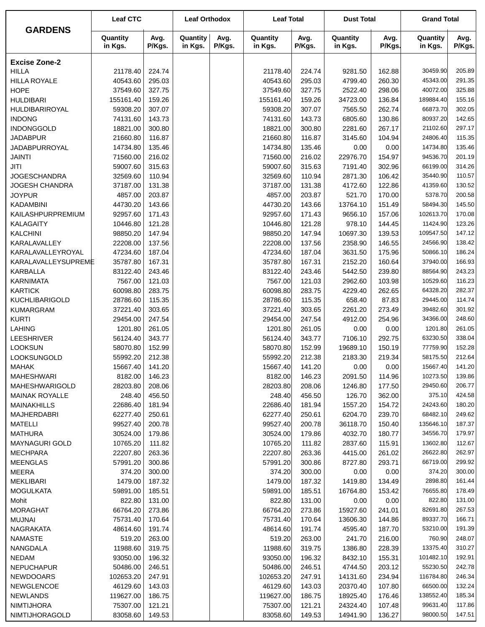|                                     | <b>Leaf CTC</b>     |                  | <b>Leaf Orthodox</b> |                | <b>Leaf Total</b>    |                  | <b>Dust Total</b>   |                | <b>Grand Total</b>  |                  |
|-------------------------------------|---------------------|------------------|----------------------|----------------|----------------------|------------------|---------------------|----------------|---------------------|------------------|
| <b>GARDENS</b>                      | Quantity<br>in Kgs. | Avg.<br>P/Kgs.   | Quantity<br>in Kgs.  | Avg.<br>P/Kgs. | Quantity<br>in Kgs.  | Avg.<br>P/Kgs.   | Quantity<br>in Kgs. | Avg.<br>P/Kgs. | Quantity<br>in Kgs. | Avg.<br>P/Kgs.   |
| <b>Excise Zone-2</b>                |                     |                  |                      |                |                      |                  |                     |                |                     |                  |
| <b>HILLA</b>                        | 21178.40            | 224.74           |                      |                | 21178.40             | 224.74           | 9281.50             | 162.88         | 30459.90            | 205.89           |
| <b>HILLA ROYALE</b>                 | 40543.60            | 295.03           |                      |                | 40543.60             | 295.03           | 4799.40             | 260.30         | 45343.00            | 291.35           |
| <b>HOPE</b>                         | 37549.60            | 327.75           |                      |                | 37549.60             | 327.75           | 2522.40             | 298.06         | 40072.00            | 325.88           |
| <b>HULDIBARI</b>                    | 155161.40           | 159.26           |                      |                | 155161.40            | 159.26           | 34723.00            | 136.84         | 189884.40           | 155.16           |
| HULDIBARIROYAL                      | 59308.20            | 307.07           |                      |                | 59308.20             | 307.07           | 7565.50             | 262.74         | 66873.70            | 302.05           |
| <b>INDONG</b>                       | 74131.60            | 143.73           |                      |                | 74131.60             | 143.73           | 6805.60             | 130.86         | 80937.20            | 142.65           |
| <b>INDONGGOLD</b>                   | 18821.00            | 300.80           |                      |                | 18821.00             | 300.80           | 2281.60             | 267.17         | 21102.60            | 297.17           |
| <b>JADABPUR</b>                     | 21660.80            | 116.87           |                      |                | 21660.80             | 116.87           | 3145.60             | 104.94         | 24806.40            | 115.35           |
| JADABPURROYAL                       | 14734.80            | 135.46           |                      |                | 14734.80             | 135.46           | 0.00                | 0.00           | 14734.80            | 135.46           |
| <b>JAINTI</b>                       | 71560.00            | 216.02           |                      |                | 71560.00             | 216.02           | 22976.70            | 154.97         | 94536.70            | 201.19           |
| <b>JITI</b>                         | 59007.60            | 315.63           |                      |                | 59007.60             | 315.63           | 7191.40             | 302.96         | 66199.00            | 314.26           |
| <b>JOGESCHANDRA</b>                 | 32569.60            | 110.94           |                      |                | 32569.60             | 110.94           | 2871.30             | 106.42         | 35440.90            | 110.57           |
| JOGESH CHANDRA                      | 37187.00            | 131.38           |                      |                | 37187.00             | 131.38           | 4172.60             | 122.86         | 41359.60            | 130.52           |
| <b>JOYPUR</b>                       | 4857.00             | 203.87           |                      |                | 4857.00              | 203.87           | 521.70              | 170.00         | 5378.70             | 200.58           |
| <b>KADAMBINI</b>                    | 44730.20            | 143.66           |                      |                | 44730.20             | 143.66           | 13764.10            | 151.49         | 58494.30            | 145.50           |
| KAILASHPURPREMIUM                   | 92957.60            | 171.43           |                      |                | 92957.60             | 171.43           | 9656.10             | 157.06         | 102613.70           | 170.08           |
| <b>KALAGAITY</b>                    | 10446.80            | 121.28           |                      |                | 10446.80             | 121.28           | 978.10              | 144.45         | 11424.90            | 123.26           |
| <b>KALCHINI</b>                     | 98850.20            | 147.94           |                      |                | 98850.20             | 147.94           | 10697.30            | 139.53         | 109547.50           | 147.12           |
| KARALAVALLEY                        | 22208.00            | 137.56           |                      |                | 22208.00             | 137.56           | 2358.90             | 146.55         | 24566.90            | 138.42           |
| KARALAVALLEYROYAL                   | 47234.60            | 187.04           |                      |                | 47234.60             | 187.04           | 3631.50             | 175.96         | 50866.10            | 186.24           |
| KARALAVALLEYSUPREME                 | 35787.80            | 167.31           |                      |                | 35787.80             | 167.31           | 2152.20             | 160.64         | 37940.00            | 166.93           |
| <b>KARBALLA</b>                     | 83122.40            | 243.46           |                      |                | 83122.40             | 243.46           | 5442.50             | 239.80         | 88564.90            | 243.23           |
| <b>KARNIMATA</b>                    | 7567.00             | 121.03           |                      |                | 7567.00              | 121.03           | 2962.60             | 103.98         | 10529.60            | 116.23           |
| <b>KARTICK</b>                      | 60098.80            | 283.75           |                      |                | 60098.80             | 283.75           | 4229.40             | 262.65         | 64328.20            | 282.37           |
| <b>KUCHLIBARIGOLD</b>               | 28786.60            | 115.35           |                      |                | 28786.60             | 115.35           | 658.40              | 87.83          | 29445.00            | 114.74           |
| <b>KUMARGRAM</b>                    | 37221.40            | 303.65           |                      |                | 37221.40             | 303.65           | 2261.20             | 273.49         | 39482.60            | 301.92           |
| <b>KURTI</b>                        | 29454.00            | 247.54           |                      |                | 29454.00             | 247.54           | 4912.00             | 254.96         | 34366.00            | 248.60<br>261.05 |
| <b>LAHING</b>                       | 1201.80<br>56124.40 | 261.05<br>343.77 |                      |                | 1201.80<br>56124.40  | 261.05<br>343.77 | 0.00<br>7106.10     | 0.00<br>292.75 | 1201.80<br>63230.50 | 338.04           |
| <b>LEESHRIVER</b><br><b>LOOKSUN</b> | 58070.80            | 152.99           |                      |                |                      | 152.99           |                     | 150.19         | 77759.90            | 152.28           |
| LOOKSUNGOLD                         | 55992.20            | 212.38           |                      |                | 58070.80<br>55992.20 | 212.38           | 19689.10<br>2183.30 | 219.34         | 58175.50            | 212.64           |
| <b>MAHAK</b>                        | 15667.40            | 141.20           |                      |                | 15667.40             | 141.20           | 0.00                | 0.00           | 15667.40            | 141.20           |
| <b>MAHESHWARI</b>                   | 8182.00             | 146.23           |                      |                | 8182.00              | 146.23           | 2091.50             | 114.96         | 10273.50            | 139.86           |
| <b>MAHESHWARIGOLD</b>               | 28203.80            | 208.06           |                      |                | 28203.80             | 208.06           | 1246.80             | 177.50         | 29450.60            | 206.77           |
| <b>MAINAK ROYALLE</b>               | 248.40              | 456.50           |                      |                | 248.40               | 456.50           | 126.70              | 362.00         | 375.10              | 424.58           |
| MAINAKHILLS                         | 22686.40            | 181.94           |                      |                | 22686.40             | 181.94           | 1557.20             | 154.72         | 24243.60            | 180.20           |
| <b>MAJHERDABRI</b>                  | 62277.40            | 250.61           |                      |                | 62277.40             | 250.61           | 6204.70             | 239.70         | 68482.10            | 249.62           |
| <b>MATELLI</b>                      | 99527.40            | 200.78           |                      |                | 99527.40             | 200.78           | 36118.70            | 150.40         | 135646.10           | 187.37           |
| <b>MATHURA</b>                      | 30524.00            | 179.86           |                      |                | 30524.00             | 179.86           | 4032.70             | 180.77         | 34556.70            | 179.97           |
| MAYNAGURI GOLD                      | 10765.20            | 111.82           |                      |                | 10765.20             | 111.82           | 2837.60             | 115.91         | 13602.80            | 112.67           |
| <b>MECHPARA</b>                     | 22207.80            | 263.36           |                      |                | 22207.80             | 263.36           | 4415.00             | 261.02         | 26622.80            | 262.97           |
| <b>MEENGLAS</b>                     | 57991.20            | 300.86           |                      |                | 57991.20             | 300.86           | 8727.80             | 293.71         | 66719.00            | 299.92           |
| <b>MEERA</b>                        | 374.20              | 300.00           |                      |                | 374.20               | 300.00           | 0.00                | 0.00           | 374.20              | 300.00           |
| <b>MEKLIBARI</b>                    | 1479.00             | 187.32           |                      |                | 1479.00              | 187.32           | 1419.80             | 134.49         | 2898.80             | 161.44           |
| <b>MOGULKATA</b>                    | 59891.00            | 185.51           |                      |                | 59891.00             | 185.51           | 16764.80            | 153.42         | 76655.80            | 178.49           |
| Mohit                               | 822.80              | 131.00           |                      |                | 822.80               | 131.00           | 0.00                | 0.00           | 822.80              | 131.00           |
| <b>MORAGHAT</b>                     | 66764.20            | 273.86           |                      |                | 66764.20             | 273.86           | 15927.60            | 241.01         | 82691.80            | 267.53           |
| <b>MUJNAI</b>                       | 75731.40            | 170.64           |                      |                | 75731.40             | 170.64           | 13606.30            | 144.86         | 89337.70            | 166.71           |
| NAGRAKATA                           | 48614.60            | 191.74           |                      |                | 48614.60             | 191.74           | 4595.40             | 187.70         | 53210.00            | 191.39           |
| <b>NAMASTE</b>                      | 519.20              | 263.00           |                      |                | 519.20               | 263.00           | 241.70              | 216.00         | 760.90              | 248.07           |
| NANGDALA                            | 11988.60            | 319.75           |                      |                | 11988.60             | 319.75           | 1386.80             | 228.39         | 13375.40            | 310.27           |
| NEDAM                               | 93050.00            | 196.32           |                      |                | 93050.00             | 196.32           | 8432.10             | 155.31         | 101482.10           | 192.91           |
| <b>NEPUCHAPUR</b>                   | 50486.00            | 246.51           |                      |                | 50486.00             | 246.51           | 4744.50             | 203.12         | 55230.50            | 242.78           |
| NEWDOOARS                           | 102653.20           | 247.91           |                      |                | 102653.20            | 247.91           | 14131.60            | 234.94         | 116784.80           | 246.34           |
| <b>NEWGLENCOE</b>                   | 46129.60            | 143.03           |                      |                | 46129.60             | 143.03           | 20370.40            | 107.80         | 66500.00            | 132.24           |
| <b>NEWLANDS</b>                     | 119627.00           | 186.75           |                      |                | 119627.00            | 186.75           | 18925.40            | 176.46         | 138552.40           | 185.34           |
| NIMTIJHORA                          | 75307.00            | 121.21           |                      |                | 75307.00             | 121.21           | 24324.40            | 107.48         | 99631.40            | 117.86           |
| NIMTIJHORAGOLD                      | 83058.60            | 149.53           |                      |                | 83058.60             | 149.53           | 14941.90            | 136.27         | 98000.50            | 147.51           |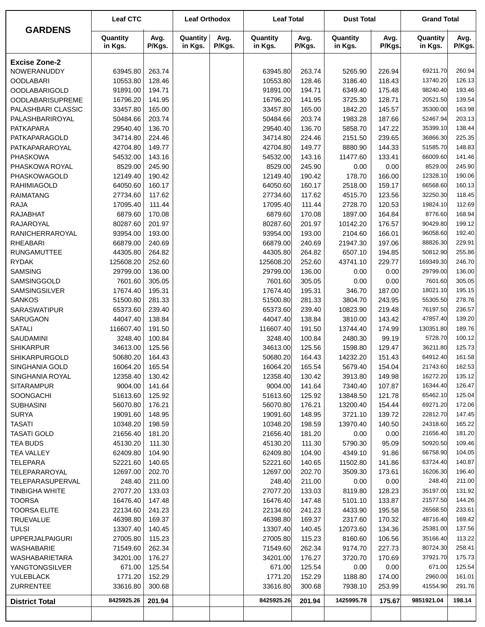|                                     | <b>Leaf CTC</b>      |                  | <b>Leaf Orthodox</b> |                | <b>Leaf Total</b>    |                  | <b>Dust Total</b>   |                  | <b>Grand Total</b>   |                  |
|-------------------------------------|----------------------|------------------|----------------------|----------------|----------------------|------------------|---------------------|------------------|----------------------|------------------|
| <b>GARDENS</b>                      | Quantity<br>in Kgs.  | Avg.<br>P/Kgs.   | Quantity<br>in Kgs.  | Avg.<br>P/Kgs. | Quantity<br>in Kgs.  | Avg.<br>P/Kgs.   | Quantity<br>in Kgs. | Avg.<br>P/Kgs.   | Quantity<br>in Kgs.  | Avg.<br>P/Kgs.   |
| <b>Excise Zone-2</b>                |                      |                  |                      |                |                      |                  |                     |                  |                      |                  |
| NOWERANUDDY                         | 63945.80             | 263.74           |                      |                | 63945.80             | 263.74           | 5265.90             | 226.94           | 69211.70             | 260.94           |
| <b>OODLABARI</b>                    | 10553.80             | 128.46           |                      |                | 10553.80             | 128.46           | 3186.40             | 118.43           | 13740.20             | 126.13           |
| <b>OODLABARIGOLD</b>                | 91891.00             | 194.71           |                      |                | 91891.00             | 194.71           | 6349.40             | 175.48           | 98240.40             | 193.46           |
| <b>OODLABARISUPREME</b>             | 16796.20             | 141.95           |                      |                | 16796.20             | 141.95           | 3725.30             | 128.71           | 20521.50             | 139.54           |
| PALASHBARI CLASSIC                  | 33457.80             | 165.00           |                      |                | 33457.80             | 165.00           | 1842.20             | 145.57           | 35300.00             | 163.98           |
| PALASHBARIROYAL                     | 50484.66             | 203.74           |                      |                | 50484.66             | 203.74           | 1983.28             | 187.66           | 52467.94             | 203.13           |
| <b>PATKAPARA</b>                    | 29540.40             | 136.70           |                      |                | 29540.40             | 136.70           | 5858.70             | 147.22           | 35399.10             | 138.44           |
| PATKAPARAGOLD                       | 34714.80             | 224.46           |                      |                | 34714.80             | 224.46           | 2151.50             | 239.65           | 36866.30             | 225.35           |
| PATKAPARAROYAL                      | 42704.80             | 149.77           |                      |                | 42704.80             | 149.77           | 8880.90             | 144.33           | 51585.70             | 148.83           |
| <b>PHASKOWA</b>                     | 54532.00             | 143.16           |                      |                | 54532.00             | 143.16           | 11477.60            | 133.41           | 66009.60             | 141.46           |
| PHASKOWA ROYAL                      | 8529.00              | 245.90           |                      |                | 8529.00              | 245.90           | 0.00                | 0.00             | 8529.00              | 245.90           |
| PHASKOWAGOLD                        | 12149.40             | 190.42           |                      |                | 12149.40             | 190.42           | 178.70              | 166.00           | 12328.10             | 190.06           |
| <b>RAHIMIAGOLD</b>                  | 64050.60             | 160.17           |                      |                | 64050.60             | 160.17           | 2518.00             | 159.17           | 66568.60             | 160.13           |
| <b>RAIMATANG</b>                    | 27734.60             | 117.62           |                      |                | 27734.60             | 117.62           | 4515.70             | 123.56           | 32250.30             | 118.45           |
| <b>RAJA</b><br><b>RAJABHAT</b>      | 17095.40             | 111.44<br>170.08 |                      |                | 17095.40             | 111.44<br>170.08 | 2728.70             | 120.53           | 19824.10<br>8776.60  | 112.69<br>168.94 |
| RAJAROYAL                           | 6879.60<br>80287.60  | 201.97           |                      |                | 6879.60<br>80287.60  | 201.97           | 1897.00<br>10142.20 | 164.84<br>176.57 | 90429.80             | 199.12           |
| RANICHERRAROYAL                     | 93954.00             | 193.00           |                      |                | 93954.00             | 193.00           | 2104.60             | 166.01           | 96058.60             | 192.40           |
| <b>RHEABARI</b>                     | 66879.00             | 240.69           |                      |                | 66879.00             | 240.69           | 21947.30            | 197.06           | 88826.30             | 229.91           |
| <b>RUNGAMUTTEE</b>                  | 44305.80             | 264.82           |                      |                | 44305.80             | 264.82           | 6507.10             | 194.85           | 50812.90             | 255.86           |
| <b>RYDAK</b>                        | 125608.20            | 252.60           |                      |                | 125608.20            | 252.60           | 43741.10            | 229.77           | 169349.30            | 246.70           |
| <b>SAMSING</b>                      | 29799.00             | 136.00           |                      |                | 29799.00             | 136.00           | 0.00                | 0.00             | 29799.00             | 136.00           |
| SAMSINGGOLD                         | 7601.60              | 305.05           |                      |                | 7601.60              | 305.05           | 0.00                | 0.00             | 7601.60              | 305.05           |
| <b>SAMSINGSILVER</b>                | 17674.40             | 195.31           |                      |                | 17674.40             | 195.31           | 346.70              | 187.00           | 18021.10             | 195.15           |
| <b>SANKOS</b>                       | 51500.80             | 281.33           |                      |                | 51500.80             | 281.33           | 3804.70             | 243.95           | 55305.50             | 278.76           |
| SARASWATIPUR                        | 65373.60             | 239.40           |                      |                | 65373.60             | 239.40           | 10823.90            | 219.48           | 76197.50             | 236.57           |
| SARUGAON                            | 44047.40             | 138.84           |                      |                | 44047.40             | 138.84           | 3810.00             | 143.42           | 47857.40             | 139.20           |
| <b>SATALI</b>                       | 116607.40            | 191.50           |                      |                | 116607.40            | 191.50           | 13744.40            | 174.99           | 130351.80            | 189.76           |
| SAUDAMINI                           | 3248.40              | 100.84           |                      |                | 3248.40              | 100.84           | 2480.30             | 99.19            | 5728.70              | 100.12           |
| <b>SHIKARPUR</b>                    | 34613.00             | 125.56           |                      |                | 34613.00             | 125.56           | 1598.80             | 129.47           | 36211.80             | 125.73           |
| <b>SHIKARPURGOLD</b>                | 50680.20             | 164.43           |                      |                | 50680.20             | 164.43           | 14232.20            | 151.43           | 64912.40             | 161.58           |
| SINGHANIA GOLD                      | 16064.20             | 165.54           |                      |                | 16064.20             | 165.54           | 5679.40             | 154.04           | 21743.60             | 162.53           |
| SINGHANIA ROYAL                     | 12358.40             | 130.42           |                      |                | 12358.40             | 130.42           | 3913.80             | 149.98           | 16272.20             | 135.12           |
| <b>SITARAMPUR</b>                   | 9004.00              | 141.64           |                      |                | 9004.00              | 141.64           | 7340.40             | 107.87           | 16344.40             | 126.47           |
| SOONGACHI                           | 51613.60             | 125.92           |                      |                | 51613.60             | 125.92           | 13848.50            | 121.78           | 65462.10             | 125.04           |
| <b>SUBHASINI</b>                    | 56070.80             | 176.21           |                      |                | 56070.80             | 176.21           | 13200.40            | 154.44           | 69271.20             | 172.06           |
| <b>SURYA</b>                        | 19091.60             | 148.95           |                      |                | 19091.60             | 148.95           | 3721.10             | 139.72           | 22812.70             | 147.45           |
| <b>TASATI</b><br><b>TASATI GOLD</b> | 10348.20<br>21656.40 | 198.59<br>181.20 |                      |                | 10348.20<br>21656.40 | 198.59<br>181.20 | 13970.40<br>0.00    | 140.50<br>0.00   | 24318.60<br>21656.40 | 165.22<br>181.20 |
| <b>TEA BUDS</b>                     | 45130.20             | 111.30           |                      |                | 45130.20             | 111.30           | 5790.30             | 95.09            | 50920.50             | 109.46           |
| <b>TEA VALLEY</b>                   | 62409.80             | 104.90           |                      |                | 62409.80             | 104.90           | 4349.10             | 91.86            | 66758.90             | 104.05           |
| <b>TELEPARA</b>                     | 52221.60             | 140.65           |                      |                | 52221.60             | 140.65           | 11502.80            | 141.86           | 63724.40             | 140.87           |
| TELEPARAROYAL                       | 12697.00             | 202.70           |                      |                | 12697.00             | 202.70           | 3509.30             | 173.61           | 16206.30             | 196.40           |
| TELEPARASUPERVAL                    | 248.40               | 211.00           |                      |                | 248.40               | 211.00           | 0.00                | 0.00             | 248.40               | 211.00           |
| <b>TINBIGHA WHITE</b>               | 27077.20             | 133.03           |                      |                | 27077.20             | 133.03           | 8119.80             | 128.23           | 35197.00             | 131.92           |
| <b>TOORSA</b>                       | 16476.40             | 147.48           |                      |                | 16476.40             | 147.48           | 5101.10             | 133.87           | 21577.50             | 144.26           |
| <b>TOORSA ELITE</b>                 | 22134.60             | 241.23           |                      |                | 22134.60             | 241.23           | 4433.90             | 195.58           | 26568.50             | 233.61           |
| <b>TRUEVALUE</b>                    | 46398.80             | 169.37           |                      |                | 46398.80             | 169.37           | 2317.60             | 170.32           | 48716.40             | 169.42           |
| <b>TULSI</b>                        | 13307.40             | 140.45           |                      |                | 13307.40             | 140.45           | 12073.60            | 134.36           | 25381.00             | 137.56           |
| <b>UPPERJALPAIGURI</b>              | 27005.80             | 115.23           |                      |                | 27005.80             | 115.23           | 8160.60             | 106.56           | 35166.40             | 113.22           |
| WASHABARIE                          | 71549.60             | 262.34           |                      |                | 71549.60             | 262.34           | 9174.70             | 227.73           | 80724.30             | 258.41           |
| WASHABARIETARA                      | 34201.00             | 176.27           |                      |                | 34201.00             | 176.27           | 3720.70             | 170.69           | 37921.70             | 175.73           |
| YANGTONGSILVER                      | 671.00               | 125.54           |                      |                | 671.00               | 125.54           | 0.00                | 0.00             | 671.00               | 125.54           |
| YULEBLACK                           | 1771.20              | 152.29           |                      |                | 1771.20              | 152.29           | 1188.80             | 174.00           | 2960.00              | 161.01           |
| <b>ZURRENTEE</b>                    | 33616.80             | 300.68           |                      |                | 33616.80             | 300.68           | 7938.10             | 253.99           | 41554.90             | 291.76           |
| <b>District Total</b>               | 8425925.26           | 201.94           |                      |                | 8425925.26           | 201.94           | 1425995.78          | 175.67           | 9851921.04           | 198.14           |
|                                     |                      |                  |                      |                |                      |                  |                     |                  |                      |                  |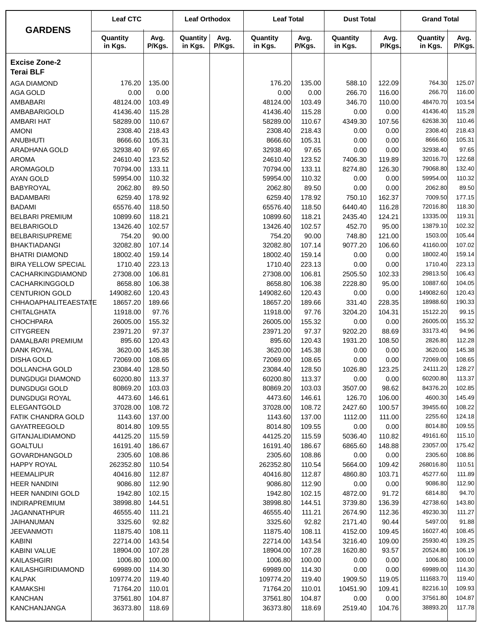|                                               | <b>Leaf CTC</b>       |                  | <b>Leaf Orthodox</b> |                | <b>Leaf Total</b>     |                  | <b>Dust Total</b>   |                | <b>Grand Total</b>    |                  |
|-----------------------------------------------|-----------------------|------------------|----------------------|----------------|-----------------------|------------------|---------------------|----------------|-----------------------|------------------|
| <b>GARDENS</b>                                | Quantity<br>in Kgs.   | Avg.<br>P/Kgs.   | Quantity<br>in Kgs.  | Avg.<br>P/Kgs. | Quantity<br>in Kgs.   | Avg.<br>P/Kgs.   | Quantity<br>in Kgs. | Avg.<br>P/Kgs. | Quantity<br>in Kgs.   | Avg.<br>P/Kgs.   |
| <b>Excise Zone-2</b><br><b>Terai BLF</b>      |                       |                  |                      |                |                       |                  |                     |                |                       |                  |
| <b>AGA DIAMOND</b>                            | 176.20                | 135.00           |                      |                | 176.20                | 135.00           | 588.10              | 122.09         | 764.30                | 125.07           |
| <b>AGA GOLD</b>                               | 0.00                  | 0.00             |                      |                | 0.00                  | 0.00             | 266.70              | 116.00         | 266.70                | 116.00           |
| AMBABARI                                      | 48124.00              | 103.49           |                      |                | 48124.00              | 103.49           | 346.70              | 110.00         | 48470.70              | 103.54           |
| AMBABARIGOLD                                  | 41436.40              | 115.28           |                      |                | 41436.40              | 115.28           | 0.00                | 0.00           | 41436.40              | 115.28           |
| <b>AMBARI HAT</b>                             | 58289.00              | 110.67           |                      |                | 58289.00              | 110.67           | 4349.30             | 107.56         | 62638.30              | 110.46           |
| <b>AMONI</b>                                  | 2308.40               | 218.43           |                      |                | 2308.40               | 218.43           | 0.00                | 0.00           | 2308.40               | 218.43           |
| <b>ANUBHUTI</b>                               | 8666.60               | 105.31           |                      |                | 8666.60               | 105.31           | 0.00                | 0.00           | 8666.60               | 105.31           |
| ARADHANA GOLD                                 | 32938.40              | 97.65            |                      |                | 32938.40              | 97.65            | 0.00                | 0.00           | 32938.40              | 97.65            |
| <b>AROMA</b>                                  | 24610.40              | 123.52           |                      |                | 24610.40              | 123.52           | 7406.30             | 119.89         | 32016.70              | 122.68           |
| AROMAGOLD                                     | 70794.00              | 133.11           |                      |                | 70794.00              | 133.11           | 8274.80             | 126.30         | 79068.80              | 132.40           |
| <b>AYAN GOLD</b>                              | 59954.00              | 110.32           |                      |                | 59954.00              | 110.32           | 0.00                | 0.00           | 59954.00              | 110.32           |
| <b>BABYROYAL</b>                              | 2062.80               | 89.50            |                      |                | 2062.80               | 89.50            | 0.00                | 0.00           | 2062.80               | 89.50            |
| <b>BADAMBARI</b>                              | 6259.40               | 178.92           |                      |                | 6259.40               | 178.92           | 750.10              | 162.37         | 7009.50               | 177.15           |
| <b>BADAMI</b>                                 | 65576.40              | 118.50           |                      |                | 65576.40              | 118.50           | 6440.40             | 116.28         | 72016.80              | 118.30           |
| <b>BELBARI PREMIUM</b>                        | 10899.60              | 118.21           |                      |                | 10899.60              | 118.21           | 2435.40             | 124.21         | 13335.00              | 119.31           |
| <b>BELBARIGOLD</b>                            | 13426.40              | 102.57           |                      |                | 13426.40              | 102.57           | 452.70              | 95.00          | 13879.10              | 102.32           |
| <b>BELBARISUPREME</b>                         | 754.20                | 90.00            |                      |                | 754.20                | 90.00            | 748.80              | 121.00         | 1503.00               | 105.44           |
| <b>BHAKTIADANGI</b>                           | 32082.80              | 107.14           |                      |                | 32082.80              | 107.14           | 9077.20             | 106.60         | 41160.00              | 107.02           |
| <b>BHATRI DIAMOND</b>                         | 18002.40              | 159.14           |                      |                | 18002.40              | 159.14           | 0.00                | 0.00           | 18002.40              | 159.14           |
| <b>BIRA YELLOW SPECIAL</b>                    | 1710.40               | 223.13           |                      |                | 1710.40               | 223.13           | 0.00                | 0.00           | 1710.40               | 223.13           |
| CACHARKINGDIAMOND                             | 27308.00              | 106.81           |                      |                | 27308.00              | 106.81           | 2505.50             | 102.33         | 29813.50              | 106.43           |
| CACHARKINGGOLD                                | 8658.80               | 106.38           |                      |                | 8658.80               | 106.38           | 2228.80             | 95.00          | 10887.60              | 104.05           |
| <b>CENTURION GOLD</b><br>CHHAOAPHALITEAESTATE | 149082.60<br>18657.20 | 120.43<br>189.66 |                      |                | 149082.60<br>18657.20 | 120.43<br>189.66 | 0.00<br>331.40      | 0.00<br>228.35 | 149082.60<br>18988.60 | 120.43<br>190.33 |
| <b>CHITALGHATA</b>                            | 11918.00              | 97.76            |                      |                | 11918.00              | 97.76            | 3204.20             | 104.31         | 15122.20              | 99.15            |
| <b>CHOCHPARA</b>                              | 26005.00              | 155.32           |                      |                | 26005.00              | 155.32           | 0.00                | 0.00           | 26005.00              | 155.32           |
| <b>CITYGREEN</b>                              | 23971.20              | 97.37            |                      |                | 23971.20              | 97.37            | 9202.20             | 88.69          | 33173.40              | 94.96            |
| DAMALBARI PREMIUM                             | 895.60                | 120.43           |                      |                | 895.60                | 120.43           | 1931.20             | 108.50         | 2826.80               | 112.28           |
| <b>DANK ROYAL</b>                             | 3620.00               | 145.38           |                      |                | 3620.00               | 145.38           | 0.00                | 0.00           | 3620.00               | 145.38           |
| <b>DISHA GOLD</b>                             | 72069.00              | 108.65           |                      |                | 72069.00              | 108.65           | 0.00                | 0.00           | 72069.00              | 108.65           |
| DOLLANCHA GOLD                                | 23084.40              | 128.50           |                      |                | 23084.40              | 128.50           | 1026.80             | 123.25         | 24111.20              | 128.27           |
| DUNGDUGI DIAMOND                              | 60200.80              | 113.37           |                      |                | 60200.80              | 113.37           | 0.00                | 0.00           | 60200.80              | 113.37           |
| <b>DUNGDUGI GOLD</b>                          | 80869.20              | 103.03           |                      |                | 80869.20              | 103.03           | 3507.00             | 98.62          | 84376.20              | 102.85           |
| <b>DUNGDUGI ROYAL</b>                         | 4473.60               | 146.61           |                      |                | 4473.60               | 146.61           | 126.70              | 106.00         | 4600.30               | 145.49           |
| <b>ELEGANTGOLD</b>                            | 37028.00              | 108.72           |                      |                | 37028.00              | 108.72           | 2427.60             | 100.57         | 39455.60              | 108.22           |
| FATIK CHANDRA GOLD                            | 1143.60               | 137.00           |                      |                | 1143.60               | 137.00           | 1112.00             | 111.00         | 2255.60               | 124.18           |
| <b>GAYATREEGOLD</b>                           | 8014.80               | 109.55           |                      |                | 8014.80               | 109.55           | 0.00                | 0.00           | 8014.80               | 109.55           |
| <b>GITANJALIDIAMOND</b>                       | 44125.20              | 115.59           |                      |                | 44125.20              | 115.59           | 5036.40             | 110.82         | 49161.60              | 115.10           |
| <b>GOALTULI</b>                               | 16191.40              | 186.67           |                      |                | 16191.40              | 186.67           | 6865.60             | 148.88         | 23057.00              | 175.42           |
| <b>GOVARDHANGOLD</b>                          | 2305.60               | 108.86           |                      |                | 2305.60               | 108.86           | 0.00                | 0.00           | 2305.60               | 108.86           |
| <b>HAPPY ROYAL</b>                            | 262352.80             | 110.54           |                      |                | 262352.80             | 110.54           | 5664.00             | 109.42         | 268016.80             | 110.51           |
| <b>HEEMALIPUR</b>                             | 40416.80              | 112.87           |                      |                | 40416.80              | 112.87           | 4860.80             | 103.71         | 45277.60              | 111.89           |
| <b>HEER NANDINI</b>                           | 9086.80               | 112.90           |                      |                | 9086.80               | 112.90           | 0.00                | 0.00           | 9086.80               | 112.90           |
| <b>HEER NANDINI GOLD</b>                      | 1942.80               | 102.15           |                      |                | 1942.80               | 102.15           | 4872.00             | 91.72          | 6814.80               | 94.70            |
| <b>INDIRAPREMIUM</b>                          | 38998.80              | 144.51           |                      |                | 38998.80              | 144.51           | 3739.80             | 136.39         | 42738.60              | 143.80           |
| <b>JAGANNATHPUR</b>                           | 46555.40              | 111.21           |                      |                | 46555.40              | 111.21           | 2674.90             | 112.36         | 49230.30              | 111.27           |
| JAIHANUMAN                                    | 3325.60               | 92.82            |                      |                | 3325.60               | 92.82            | 2171.40             | 90.44          | 5497.00               | 91.88            |
| JEEVANMOTI                                    | 11875.40              | 108.11           |                      |                | 11875.40              | 108.11           | 4152.00             | 109.45         | 16027.40              | 108.45           |
| <b>KABINI</b>                                 | 22714.00              | 143.54           |                      |                | 22714.00              | 143.54           | 3216.40             | 109.00         | 25930.40              | 139.25           |
| <b>KABINI VALUE</b>                           | 18904.00              | 107.28           |                      |                | 18904.00              | 107.28           | 1620.80             | 93.57          | 20524.80              | 106.19           |
| KAILASHGIRI                                   | 1006.80               | 100.00           |                      |                | 1006.80               | 100.00           | 0.00                | 0.00           | 1006.80               | 100.00           |
| KAILASHGIRIDIAMOND                            | 69989.00              | 114.30           |                      |                | 69989.00              | 114.30           | 0.00                | 0.00           | 69989.00              | 114.30           |
| <b>KALPAK</b>                                 | 109774.20             | 119.40           |                      |                | 109774.20             | 119.40           | 1909.50             | 119.05         | 111683.70             | 119.40<br>109.93 |
| <b>KAMAKSHI</b><br><b>KANCHAN</b>             | 71764.20<br>37561.80  | 110.01<br>104.87 |                      |                | 71764.20<br>37561.80  | 110.01<br>104.87 | 10451.90<br>0.00    | 109.41<br>0.00 | 82216.10<br>37561.80  | 104.87           |
| KANCHANJANGA                                  | 36373.80              | 118.69           |                      |                | 36373.80              | 118.69           | 2519.40             | 104.76         | 38893.20              | 117.78           |
|                                               |                       |                  |                      |                |                       |                  |                     |                |                       |                  |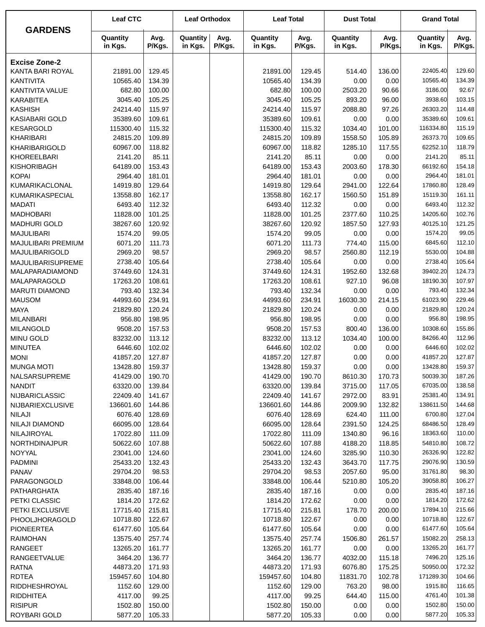|                                        | <b>Leaf CTC</b>      |                  | <b>Leaf Orthodox</b> |                | <b>Leaf Total</b>    |                  | <b>Dust Total</b>   |                 | <b>Grand Total</b>   |                  |
|----------------------------------------|----------------------|------------------|----------------------|----------------|----------------------|------------------|---------------------|-----------------|----------------------|------------------|
| <b>GARDENS</b>                         | Quantity<br>in Kgs.  | Avg.<br>P/Kgs.   | Quantity<br>in Kgs.  | Avg.<br>P/Kgs. | Quantity<br>in Kgs.  | Avg.<br>P/Kgs.   | Quantity<br>in Kgs. | Avg.<br>P/Kgs.  | Quantity<br>in Kgs.  | Avg.<br>P/Kgs.   |
| <b>Excise Zone-2</b>                   |                      |                  |                      |                |                      |                  |                     |                 |                      |                  |
| KANTA BARI ROYAL                       | 21891.00             | 129.45           |                      |                | 21891.00             | 129.45           | 514.40              | 136.00          | 22405.40             | 129.60           |
| KANTIVITA                              | 10565.40             | 134.39           |                      |                | 10565.40             | 134.39           | 0.00                | 0.00            | 10565.40             | 134.39           |
| KANTIVITA VALUE                        | 682.80               | 100.00           |                      |                | 682.80               | 100.00           | 2503.20             | 90.66           | 3186.00              | 92.67            |
| <b>KARABITEA</b>                       | 3045.40              | 105.25           |                      |                | 3045.40              | 105.25           | 893.20              | 96.00           | 3938.60              | 103.15           |
| <b>KASHISH</b>                         | 24214.40             | 115.97           |                      |                | 24214.40             | 115.97           | 2088.80             | 97.26           | 26303.20             | 114.48           |
| <b>KASIABARI GOLD</b>                  | 35389.60             | 109.61           |                      |                | 35389.60             | 109.61           | 0.00                | 0.00            | 35389.60             | 109.61           |
| <b>KESARGOLD</b>                       | 115300.40            | 115.32           |                      |                | 115300.40            | 115.32           | 1034.40             | 101.00          | 116334.80            | 115.19           |
| KHARIBARI                              | 24815.20             | 109.89           |                      |                | 24815.20             | 109.89           | 1558.50             | 105.89          | 26373.70             | 109.65           |
| KHARIBARIGOLD                          | 60967.00             | 118.82           |                      |                | 60967.00             | 118.82           | 1285.10             | 117.55          | 62252.10             | 118.79           |
| KHOREELBARI                            | 2141.20              | 85.11            |                      |                | 2141.20              | 85.11            | 0.00                | 0.00            | 2141.20              | 85.11            |
| KISHORIBAGH                            | 64189.00             | 153.43           |                      |                | 64189.00             | 153.43           | 2003.60             | 178.30          | 66192.60             | 154.18           |
| <b>KOPAI</b>                           | 2964.40              | 181.01           |                      |                | 2964.40              | 181.01           | 0.00                | 0.00            | 2964.40              | 181.01           |
| KUMARIKACLONAL                         | 14919.80             | 129.64           |                      |                | 14919.80             | 129.64           | 2941.00             | 122.64          | 17860.80             | 128.49           |
| KUMARIKASPECIAL                        | 13558.80             | 162.17           |                      |                | 13558.80             | 162.17           | 1560.50             | 151.89          | 15119.30             | 161.11           |
| <b>MADATI</b>                          | 6493.40              | 112.32           |                      |                | 6493.40              | 112.32           | 0.00                | 0.00            | 6493.40              | 112.32           |
| <b>MADHOBARI</b>                       | 11828.00             | 101.25           |                      |                | 11828.00             | 101.25           | 2377.60             | 110.25          | 14205.60             | 102.76           |
| <b>MADHURI GOLD</b>                    | 38267.60             | 120.92           |                      |                | 38267.60             | 120.92           | 1857.50             | 127.93          | 40125.10             | 121.25           |
| <b>MAJULIBARI</b>                      | 1574.20              | 99.05            |                      |                | 1574.20              | 99.05            | 0.00                | 0.00            | 1574.20              | 99.05            |
| MAJULIBARI PREMIUM                     | 6071.20              | 111.73           |                      |                | 6071.20              | 111.73           | 774.40              | 115.00          | 6845.60              | 112.10           |
| MAJULIBARIGOLD                         | 2969.20              | 98.57            |                      |                | 2969.20              | 98.57            | 2560.80             | 112.19          | 5530.00              | 104.88           |
| MAJULIBARISUPREME                      | 2738.40              | 105.64           |                      |                | 2738.40              | 105.64           | 0.00                | 0.00            | 2738.40              | 105.64           |
| MALAPARADIAMOND                        | 37449.60             | 124.31           |                      |                | 37449.60             | 124.31           | 1952.60             | 132.68          | 39402.20             | 124.73           |
| MALAPARAGOLD                           | 17263.20             | 108.61           |                      |                | 17263.20             | 108.61           | 927.10              | 96.08           | 18190.30             | 107.97           |
| <b>MARUTI DIAMOND</b>                  | 793.40               | 132.34           |                      |                | 793.40               | 132.34           | 0.00                | 0.00            | 793.40               | 132.34           |
| <b>MAUSOM</b>                          | 44993.60             | 234.91           |                      |                | 44993.60             | 234.91           | 16030.30            | 214.15          | 61023.90             | 229.46           |
| <b>MAYA</b>                            | 21829.80             | 120.24           |                      |                | 21829.80             | 120.24           | 0.00                | 0.00            | 21829.80             | 120.24           |
| <b>MILANBARI</b>                       | 956.80               | 198.95           |                      |                | 956.80               | 198.95           | 0.00                | 0.00            | 956.80               | 198.95           |
| <b>MILANGOLD</b>                       | 9508.20              | 157.53           |                      |                | 9508.20              | 157.53           | 800.40              | 136.00          | 10308.60             | 155.86           |
| MINU GOLD                              | 83232.00             | 113.12           |                      |                | 83232.00             | 113.12           | 1034.40             | 100.00          | 84266.40             | 112.96           |
| <b>MINUTEA</b>                         | 6446.60              | 102.02           |                      |                | 6446.60              | 102.02           | 0.00                | 0.00            | 6446.60              | 102.02           |
| <b>MONI</b>                            | 41857.20             | 127.87           |                      |                | 41857.20             | 127.87           | 0.00                | 0.00            | 41857.20             | 127.87           |
| <b>MUNGA MOTI</b>                      | 13428.80             | 159.37           |                      |                | 13428.80             | 159.37           | 0.00                | 0.00            | 13428.80             | 159.37           |
| NALSARSUPREME                          | 41429.00             | 190.70           |                      |                | 41429.00             | 190.70           | 8610.30             | 170.73          | 50039.30<br>67035.00 | 187.26<br>138.58 |
| <b>NANDIT</b><br><b>NIJBARICLASSIC</b> | 63320.00<br>22409.40 | 139.84<br>141.67 |                      |                | 63320.00<br>22409.40 | 139.84<br>141.67 | 3715.00<br>2972.00  | 117.05<br>83.91 | 25381.40             | 134.91           |
| <b>NIJBARIEXCLUSIVE</b>                | 136601.60            | 144.86           |                      |                | 136601.60            | 144.86           | 2009.90             | 132.82          | 138611.50            | 144.68           |
| <b>NILAJI</b>                          | 6076.40              | 128.69           |                      |                | 6076.40              | 128.69           | 624.40              | 111.00          | 6700.80              | 127.04           |
| <b>NILAJI DIAMOND</b>                  | 66095.00             | 128.64           |                      |                | 66095.00             | 128.64           | 2391.50             | 124.25          | 68486.50             | 128.49           |
| NILAJIROYAL                            | 17022.80             | 111.09           |                      |                | 17022.80             | 111.09           | 1340.80             | 96.16           | 18363.60             | 110.00           |
| <b>NORTHDINAJPUR</b>                   | 50622.60             | 107.88           |                      |                | 50622.60             | 107.88           | 4188.20             | 118.85          | 54810.80             | 108.72           |
| NOYYAL                                 | 23041.00             | 124.60           |                      |                | 23041.00             | 124.60           | 3285.90             | 110.30          | 26326.90             | 122.82           |
| <b>PADMINI</b>                         | 25433.20             | 132.43           |                      |                | 25433.20             | 132.43           | 3643.70             | 117.75          | 29076.90             | 130.59           |
| <b>PANAV</b>                           | 29704.20             | 98.53            |                      |                | 29704.20             | 98.53            | 2057.60             | 95.00           | 31761.80             | 98.30            |
| PARAGONGOLD                            | 33848.00             | 106.44           |                      |                | 33848.00             | 106.44           | 5210.80             | 105.20          | 39058.80             | 106.27           |
| PATHARGHATA                            | 2835.40              | 187.16           |                      |                | 2835.40              | 187.16           | 0.00                | 0.00            | 2835.40              | 187.16           |
| PETKI CLASSIC                          | 1814.20              | 172.62           |                      |                | 1814.20              | 172.62           | 0.00                | 0.00            | 1814.20              | 172.62           |
| PETKI EXCLUSIVE                        | 17715.40             | 215.81           |                      |                | 17715.40             | 215.81           | 178.70              | 200.00          | 17894.10             | 215.66           |
| PHOOLJHORAGOLD                         | 10718.80             | 122.67           |                      |                | 10718.80             | 122.67           | 0.00                | 0.00            | 10718.80             | 122.67           |
| <b>PIONEERTEA</b>                      | 61477.60             | 105.64           |                      |                | 61477.60             | 105.64           | 0.00                | 0.00            | 61477.60             | 105.64           |
| <b>RAIMOHAN</b>                        | 13575.40             | 257.74           |                      |                | 13575.40             | 257.74           | 1506.80             | 261.57          | 15082.20             | 258.13           |
| RANGEET                                | 13265.20             | 161.77           |                      |                | 13265.20             | 161.77           | 0.00                | 0.00            | 13265.20             | 161.77           |
| <b>RANGEETVALUE</b>                    | 3464.20              | 136.77           |                      |                | 3464.20              | 136.77           | 4032.00             | 115.18          | 7496.20              | 125.16           |
| <b>RATNA</b>                           | 44873.20             | 171.93           |                      |                | 44873.20             | 171.93           | 6076.80             | 175.25          | 50950.00             | 172.32           |
| <b>RDTEA</b>                           | 159457.60            | 104.80           |                      |                | 159457.60            | 104.80           | 11831.70            | 102.78          | 171289.30            | 104.66           |
| RIDDHESHROYAL                          | 1152.60              | 129.00           |                      |                | 1152.60              | 129.00           | 763.20              | 98.00           | 1915.80              | 116.65           |
| <b>RIDDHITEA</b>                       | 4117.00              | 99.25            |                      |                | 4117.00              | 99.25            | 644.40              | 115.00          | 4761.40              | 101.38           |
| <b>RISIPUR</b>                         | 1502.80              | 150.00           |                      |                | 1502.80              | 150.00           | 0.00                | 0.00            | 1502.80              | 150.00           |
| ROYBARI GOLD                           | 5877.20              | 105.33           |                      |                | 5877.20              | 105.33           | 0.00                | 0.00            | 5877.20              | 105.33           |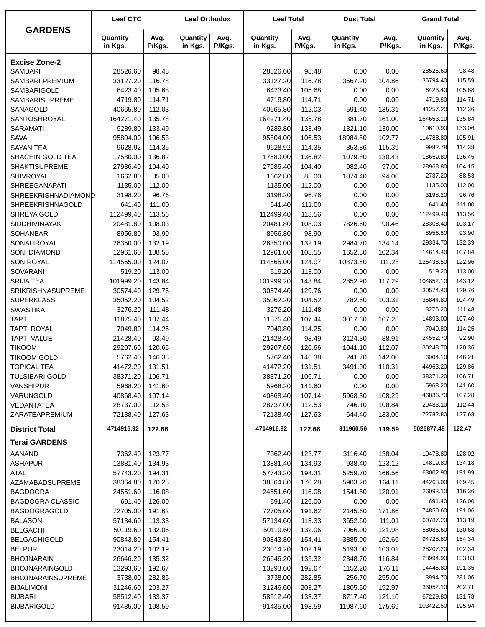| <b>GARDENS</b>                       | <b>Leaf CTC</b>       |                  | <b>Leaf Orthodox</b> |                | <b>Leaf Total</b>    |                  | <b>Dust Total</b>   |                  | <b>Grand Total</b>    |                  |
|--------------------------------------|-----------------------|------------------|----------------------|----------------|----------------------|------------------|---------------------|------------------|-----------------------|------------------|
|                                      | Quantity<br>in Kgs.   | Avg.<br>P/Kgs.   | Quantity<br>in Kgs.  | Avg.<br>P/Kgs. | Quantity<br>in Kgs.  | Avg.<br>P/Kgs.   | Quantity<br>in Kgs. | Avg.<br>P/Kgs.   | Quantity<br>in Kgs.   | Avg.<br>P/Kgs.   |
| <b>Excise Zone-2</b>                 |                       |                  |                      |                |                      |                  |                     |                  |                       |                  |
| <b>SAMBARI</b>                       | 28526.60              | 98.48            |                      |                | 28526.60             | 98.48            | 0.00                | 0.00             | 28526.60              | 98.48            |
| SAMBARI PREMIUM                      | 33127.20              | 116.78           |                      |                | 33127.20             | 116.78           | 3667.20             | 104.86           | 36794.40              | 115.59           |
| SAMBARIGOLD                          | 6423.40               | 105.68           |                      |                | 6423.40              | 105.68           | 0.00                | 0.00             | 6423.40               | 105.68           |
| <b>SAMBARISUPREME</b>                | 4719.80               | 114.71           |                      |                | 4719.80              | 114.71           | 0.00                | 0.00             | 4719.80               | 114.71           |
| SANAGOLD                             | 40665.80              | 112.03           |                      |                | 40665.80             | 112.03           | 591.40              | 135.31           | 41257.20              | 112.36           |
| SANTOSHROYAL                         | 164271.40             | 135.78           |                      |                | 164271.40            | 135.78           | 381.70              | 161.00           | 164653.10             | 135.84           |
| <b>SARAMATI</b>                      | 9289.80               | 133.49           |                      |                | 9289.80              | 133.49           | 1321.10             | 130.00           | 10610.90              | 133.06           |
| <b>SAVA</b>                          | 95804.00              | 106.53           |                      |                | 95804.00             | 106.53           | 18984.80            | 102.77           | 114788.80             | 105.91           |
| <b>SAYAN TEA</b>                     | 9628.92               | 114.35           |                      |                | 9628.92              | 114.35           | 353.86              | 115.39           | 9982.78               | 114.38           |
| SHACHIN GOLD TEA                     | 17580.00              | 136.82           |                      |                | 17580.00             | 136.82           | 1079.80             | 130.43           | 18659.80              | 136.45           |
| <b>SHAKTISUPREME</b>                 | 27986.40              | 104.40           |                      |                | 27986.40             | 104.40           | 982.40              | 97.00            | 28968.80              | 104.15           |
| SHIVROYAL                            | 1662.80               | 85.00            |                      |                | 1662.80              | 85.00            | 1074.40             | 94.00            | 2737.20               | 88.53            |
| SHREEGANAPATI                        | 1135.00               | 112.00           |                      |                | 1135.00              | 112.00           | 0.00                | 0.00             | 1135.00               | 112.00           |
| SHREEKRISHNADIAMOND                  | 3198.20               | 96.76            |                      |                | 3198.20              | 96.76            | 0.00                | 0.00             | 3198.20               | 96.76            |
| SHREEKRISHNAGOLD                     | 641.40                | 111.00           |                      |                | 641.40               | 111.00           | 0.00                | 0.00             | 641.40                | 111.00           |
| SHREYA GOLD                          | 112499.40<br>20481.80 | 113.56           |                      |                | 112499.40            | 113.56           | 0.00                | 0.00             | 112499.40<br>28308.40 | 113.56<br>103.17 |
| SIDDHIVINAYAK<br><b>SOHANBARI</b>    | 8956.80               | 108.03<br>93.90  |                      |                | 20481.80<br>8956.80  | 108.03<br>93.90  | 7826.60<br>0.00     | 90.46<br>0.00    | 8956.80               | 93.90            |
| SONALIROYAL                          | 26350.00              | 132.19           |                      |                | 26350.00             | 132.19           | 2984.70             | 134.14           | 29334.70              | 132.39           |
| <b>SONI DIAMOND</b>                  | 12961.60              | 108.55           |                      |                | 12961.60             | 108.55           | 1652.80             | 102.34           | 14614.40              | 107.84           |
| SONIROYAL                            | 114565.00             | 124.07           |                      |                | 114565.00            | 124.07           | 10873.50            | 111.28           | 125438.50             | 122.96           |
| <b>SOVARANI</b>                      | 519.20                | 113.00           |                      |                | 519.20               | 113.00           | 0.00                | 0.00             | 519.20                | 113.00           |
| <b>SRIJA TEA</b>                     | 101999.20             | 143.84           |                      |                | 101999.20            | 143.84           | 2852.90             | 117.29           | 104852.10             | 143.12           |
| <b>SRIKRISHNASUPREME</b>             | 30574.40              | 129.76           |                      |                | 30574.40             | 129.76           | 0.00                | 0.00             | 30574.40              | 129.76           |
| <b>SUPERKLASS</b>                    | 35062.20              | 104.52           |                      |                | 35062.20             | 104.52           | 782.60              | 103.31           | 35844.80              | 104.49           |
| <b>SWASTIKA</b>                      | 3276.20               | 111.48           |                      |                | 3276.20              | 111.48           | 0.00                | 0.00             | 3276.20               | 111.48           |
| <b>TAPTI</b>                         | 11875.40              | 107.44           |                      |                | 11875.40             | 107.44           | 3017.60             | 107.25           | 14893.00              | 107.40           |
| <b>TAPTI ROYAL</b>                   | 7049.80               | 114.25           |                      |                | 7049.80              | 114.25           | 0.00                | 0.00             | 7049.80               | 114.25           |
| <b>TAPTI VALUE</b>                   | 21428.40              | 93.49            |                      |                | 21428.40             | 93.49            | 3124.30             | 88.91            | 24552.70              | 92.90            |
| <b>TIKOOM</b>                        | 29207.60              | 120.66           |                      |                | 29207.60             | 120.66           | 1041.10             | 112.07           | 30248.70              | 120.36           |
| <b>TIKOOM GOLD</b>                   | 5762.40               | 146.38           |                      |                | 5762.40              | 146.38           | 241.70              | 142.00           | 6004.10               | 146.21           |
| <b>TOPICAL TEA</b>                   | 41472.20              | 131.51           |                      |                | 41472.20             | 131.51           | 3491.00             | 110.31           | 44963.20              | 129.86           |
| <b>TULSIBARI GOLD</b>                | 38371.20              | 106.71           |                      |                | 38371.20             | 106.71           | 0.00                | 0.00             | 38371.20              | 106.71           |
| <b>VANSHIPUR</b>                     | 5968.20               | 141.60           |                      |                | 5968.20              | 141.60           | 0.00                | 0.00             | 5968.20               | 141.60           |
| VARUNGOLD                            | 40868.40              | 107.14           |                      |                | 40868.40             | 107.14           | 5968.30             | 108.29           | 46836.70              | 107.28           |
| VEDANTATEA                           | 28737.00              | 112.53           |                      |                | 28737.00             | 112.53           | 746.10              | 108.84           | 29483.10              | 112.44           |
| ZARATEAPREMIUM                       | 72138.40              | 127.63           |                      |                | 72138.40             | 127.63           | 644.40              | 133.00           | 72782.80              | 127.68           |
| <b>District Total</b>                | 4714916.92            | 122.66           |                      |                | 4714916.92           | 122.66           | 311960.56           | 119.59           | 5026877.48            | 122.47           |
| <b>Terai GARDENS</b>                 |                       |                  |                      |                |                      |                  |                     |                  |                       |                  |
| AANAND                               | 7362.40               | 123.77           |                      |                | 7362.40              | 123.77           | 3116.40             | 138.04           | 10478.80              | 128.02           |
| <b>ASHAPUR</b>                       | 13881.40              | 134.93           |                      |                | 13881.40             | 134.93           | 938.40              | 123.12           | 14819.80              | 134.18           |
| <b>ATAL</b>                          | 57743.20              | 194.31           |                      |                | 57743.20             | 194.31           | 5259.70             | 166.56           | 63002.90              | 191.99           |
| AZAMABADSUPREME                      | 38364.80              | 170.28           |                      |                | 38364.80             | 170.28           | 5903.20             | 164.11           | 44268.00              | 169.45           |
| <b>BAGDOGRA</b>                      | 24551.60              | 116.08           |                      |                | 24551.60             | 116.08           | 1541.50             | 120.91           | 26093.10              | 116.36           |
| <b>BAGDOGRA CLASSIC</b>              | 691.40                | 126.00           |                      |                | 691.40               | 126.00           | 0.00                | 0.00             | 691.40                | 126.00           |
| BAGDOGRAGOLD                         | 72705.00              | 191.62           |                      |                | 72705.00             | 191.62           | 2145.60             | 171.86           | 74850.60              | 191.06           |
| <b>BALASON</b>                       | 57134.60              | 113.33           |                      |                | 57134.60             | 113.33           | 3652.60             | 111.01           | 60787.20              | 113.19           |
| <b>BELGACHI</b>                      | 50119.60              | 132.06           |                      |                | 50119.60             | 132.06           | 7966.00             | 121.98           | 58085.60<br>94728.80  | 130.68<br>154.34 |
| <b>BELGACHIGOLD</b><br><b>BELPUR</b> | 90843.80<br>23014.20  | 154.41<br>102.19 |                      |                | 90843.80<br>23014.20 | 154.41<br>102.19 | 3885.00<br>5193.00  | 152.66<br>103.01 | 28207.20              | 102.34           |
| <b>BHOJNARAIN</b>                    | 26646.20              | 135.32           |                      |                | 26646.20             | 135.32           | 2348.70             | 116.84           | 28994.90              | 133.83           |
| <b>BHOJNARAINGOLD</b>                | 13293.60              | 192.67           |                      |                | 13293.60             | 192.67           | 1152.20             | 176.11           | 14445.80              | 191.35           |
| <b>BHOJNARAINSUPREME</b>             | 3738.00               | 282.85           |                      |                | 3738.00              | 282.85           | 256.70              | 255.00           | 3994.70               | 281.06           |
| <b>BIJALIMONI</b>                    | 31246.60              | 203.27           |                      |                | 31246.60             | 203.27           | 1805.50             | 192.97           | 33052.10              | 202.71           |
| <b>BIJBARI</b>                       | 58512.40              | 133.37           |                      |                | 58512.40             | 133.37           | 8717.40             | 121.10           | 67229.80              | 131.78           |
| <b>BIJBARIGOLD</b>                   | 91435.00              | 198.59           |                      |                | 91435.00             | 198.59           | 11987.60            | 175.69           | 103422.60             | 195.94           |
|                                      |                       |                  |                      |                |                      |                  |                     |                  |                       |                  |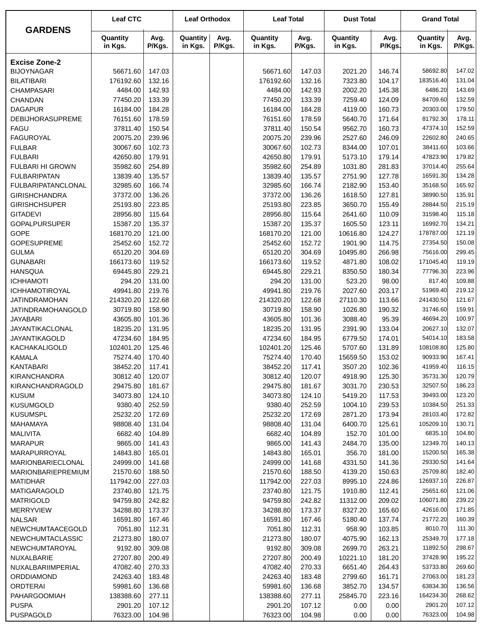|                           | <b>Leaf CTC</b>     |                | <b>Leaf Orthodox</b> |                | <b>Leaf Total</b>   |                | <b>Dust Total</b>   |                | <b>Grand Total</b>   |                  |
|---------------------------|---------------------|----------------|----------------------|----------------|---------------------|----------------|---------------------|----------------|----------------------|------------------|
| <b>GARDENS</b>            | Quantity<br>in Kgs. | Avg.<br>P/Kgs. | Quantity<br>in Kgs.  | Avg.<br>P/Kgs. | Quantity<br>in Kgs. | Avg.<br>P/Kgs. | Quantity<br>in Kgs. | Avg.<br>P/Kgs. | Quantity<br>in Kgs.  | Avg.<br>P/Kgs.   |
| <b>Excise Zone-2</b>      |                     |                |                      |                |                     |                |                     |                |                      |                  |
| <b>BIJOYNAGAR</b>         | 56671.60            | 147.03         |                      |                | 56671.60            | 147.03         | 2021.20             | 146.74         | 58692.80             | 147.02           |
| <b>BILATIBARI</b>         | 176192.60           | 132.16         |                      |                | 176192.60           | 132.16         | 7323.80             | 104.17         | 183516.40            | 131.04           |
| <b>CHAMPASARI</b>         | 4484.00             | 142.93         |                      |                | 4484.00             | 142.93         | 2002.20             | 145.38         | 6486.20              | 143.69           |
| <b>CHANDAN</b>            | 77450.20            | 133.39         |                      |                | 77450.20            | 133.39         | 7259.40             | 124.09         | 84709.60             | 132.59           |
| <b>DAGAPUR</b>            | 16184.00            | 184.28         |                      |                | 16184.00            | 184.28         | 4119.00             | 160.73         | 20303.00             | 179.50           |
| <b>DEBIJHORASUPREME</b>   | 76151.60            | 178.59         |                      |                | 76151.60            | 178.59         | 5640.70             | 171.64         | 81792.30             | 178.11           |
| <b>FAGU</b>               | 37811.40            | 150.54         |                      |                | 37811.40            | 150.54         | 9562.70             | 160.73         | 47374.10             | 152.59           |
| <b>FAGUROYAL</b>          | 20075.20            | 239.96         |                      |                | 20075.20            | 239.96         | 2527.60             | 246.09         | 22602.80             | 240.65           |
| <b>FULBAR</b>             | 30067.60            | 102.73         |                      |                | 30067.60            | 102.73         | 8344.00             | 107.01         | 38411.60             | 103.66           |
| <b>FULBARI</b>            | 42650.80            | 179.91         |                      |                | 42650.80            | 179.91         | 5173.10             | 179.14         | 47823.90             | 179.82           |
| FULBARI HI GROWN          | 35982.60            | 254.89         |                      |                | 35982.60            | 254.89         | 1031.80             | 281.83         | 37014.40             | 255.64           |
| <b>FULBARIPATAN</b>       | 13839.40            | 135.57         |                      |                | 13839.40            | 135.57         | 2751.90             | 127.78         | 16591.30             | 134.28           |
| <b>FULBARIPATANCLONAL</b> | 32985.60            | 166.74         |                      |                | 32985.60            | 166.74         | 2182.90             | 153.40         | 35168.50             | 165.92           |
| <b>GIRISHCHANDRA</b>      | 37372.00            | 136.26         |                      |                | 37372.00            | 136.26         | 1618.50             | 127.81         | 38990.50             | 135.91           |
| <b>GIRISHCHSUPER</b>      | 25193.80            | 223.85         |                      |                | 25193.80            | 223.85         | 3650.70             | 155.49         | 28844.50             | 215.19           |
| <b>GITADEVI</b>           | 28956.80            | 115.64         |                      |                | 28956.80            | 115.64         | 2641.60             | 110.09         | 31598.40             | 115.18           |
| <b>GOPALPURSUPER</b>      | 15387.20            | 135.37         |                      |                | 15387.20            | 135.37         | 1605.50             | 123.11         | 16992.70             | 134.21           |
| <b>GOPE</b>               | 168170.20           | 121.00         |                      |                | 168170.20           | 121.00         | 10616.80            | 124.27         | 178787.00            | 121.19           |
| <b>GOPESUPREME</b>        | 25452.60            | 152.72         |                      |                | 25452.60            | 152.72         | 1901.90             | 114.75         | 27354.50             | 150.08           |
| <b>GULMA</b>              | 65120.20            | 304.69         |                      |                | 65120.20            | 304.69         | 10495.80            | 266.98         | 75616.00             | 299.45           |
| <b>GUNABARI</b>           | 166173.60           | 119.52         |                      |                | 166173.60           | 119.52         | 4871.80             | 108.02         | 171045.40            | 119.19           |
| <b>HANSQUA</b>            | 69445.80            | 229.21         |                      |                | 69445.80            | 229.21         | 8350.50             | 180.34         | 77796.30             | 223.96           |
| <b>ICHHAMOTI</b>          | 294.20              | 131.00         |                      |                | 294.20              | 131.00         | 523.20              | 98.00          | 817.40               | 109.88           |
| <b>ICHHAMOTIROYAL</b>     | 49941.80            | 219.76         |                      |                | 49941.80            | 219.76         | 2027.60             | 203.17         | 51969.40             | 219.12           |
| <b>JATINDRAMOHAN</b>      | 214320.20           | 122.68         |                      |                | 214320.20           | 122.68         | 27110.30            | 113.66         | 241430.50            | 121.67           |
| <b>JATINDRAMOHANGOLD</b>  | 30719.80            | 158.90         |                      |                | 30719.80            | 158.90         | 1026.80             | 190.32         | 31746.60             | 159.91           |
| <b>JAYABARI</b>           | 43605.80            | 101.36         |                      |                | 43605.80            | 101.36         | 3088.40             | 95.39          | 46694.20             | 100.97           |
| <b>JAYANTIKACLONAL</b>    | 18235.20            | 131.95         |                      |                | 18235.20            | 131.95         | 2391.90             | 133.04         | 20627.10             | 132.07           |
| <b>JAYANTIKAGOLD</b>      | 47234.60            | 184.95         |                      |                | 47234.60            | 184.95         | 6779.50             | 174.01         | 54014.10             | 183.58           |
| KACHAKALIGOLD             | 102401.20           | 125.46         |                      |                | 102401.20           | 125.46         | 5707.60             | 131.89         | 108108.80            | 125.80           |
| <b>KAMALA</b>             | 75274.40            | 170.40         |                      |                | 75274.40            | 170.40         | 15659.50            | 153.02         | 90933.90             | 167.41           |
| <b>KANTABARI</b>          | 38452.20            | 117.41         |                      |                | 38452.20            | 117.41         | 3507.20             | 102.36         | 41959.40             | 116.15           |
| <b>KIRANCHANDRA</b>       | 30812.40            | 120.07         |                      |                | 30812.40            | 120.07         | 4918.90             | 125.30         | 35731.30             | 120.79           |
| KIRANCHANDRAGOLD          | 29475.80            | 181.67         |                      |                | 29475.80            | 181.67         | 3031.70             | 230.53         | 32507.50             | 186.23           |
| <b>KUSUM</b>              | 34073.80            | 124.10         |                      |                | 34073.80            | 124.10         | 5419.20             | 117.53         | 39493.00             | 123.20           |
| <b>KUSUMGOLD</b>          | 9380.40             | 252.59         |                      |                | 9380.40             | 252.59         | 1004.10             | 239.53         | 10384.50             | 251.33           |
| <b>KUSUMSPL</b>           | 25232.20            | 172.69         |                      |                | 25232.20            | 172.69         | 2871.20             | 173.94         | 28103.40             | 172.82           |
| MAHAMAYA                  | 98808.40            | 131.04         |                      |                | 98808.40            | 131.04         | 6400.70             | 125.61         | 105209.10            | 130.71           |
| <b>MALIVITA</b>           | 6682.40             | 104.89         |                      |                | 6682.40             | 104.89         | 152.70              | 101.00         | 6835.10              | 104.80           |
| <b>MARAPUR</b>            | 9865.00             | 141.43         |                      |                | 9865.00             | 141.43         | 2484.70             | 135.00         | 12349.70             | 140.13           |
| MARAPURROYAL              | 14843.80            | 165.01         |                      |                | 14843.80            | 165.01         | 356.70              | 181.00         | 15200.50             | 165.38           |
| MARIONBARIECLONAL         | 24999.00            | 141.68         |                      |                | 24999.00            | 141.68         | 4331.50             | 141.36         | 29330.50             | 141.64           |
| <b>MARIONBARIEPREMIUM</b> | 21570.60            | 188.50         |                      |                | 21570.60            | 188.50         | 4139.20             | 150.63         | 25709.80             | 182.40           |
| <b>MATIDHAR</b>           | 117942.00           | 227.03         |                      |                | 117942.00           | 227.03         | 8995.10             | 224.86         | 126937.10            | 226.87           |
| <b>MATIGARAGOLD</b>       | 23740.80            | 121.75         |                      |                | 23740.80            | 121.75         | 1910.80             | 112.41         | 25651.60             | 121.06           |
| <b>MATRIGOLD</b>          | 94759.80            | 242.82         |                      |                | 94759.80            | 242.82         | 11312.00            | 209.02         | 106071.80            | 239.22           |
| <b>MERRYVIEW</b>          | 34288.80            | 173.37         |                      |                | 34288.80            | 173.37         | 8327.20             | 165.60         | 42616.00             | 171.85           |
| <b>NALSAR</b>             | 16591.80            | 167.46         |                      |                | 16591.80            | 167.46         | 5180.40             | 137.74         | 21772.20             | 160.39           |
| <b>NEWCHUMTAACEGOLD</b>   | 7051.80             | 112.31         |                      |                | 7051.80             | 112.31         | 958.90              | 103.85         | 8010.70              | 111.30           |
| NEWCHUMTACLASSIC          | 21273.80            | 180.07         |                      |                | 21273.80            | 180.07         | 4075.90             | 162.13         | 25349.70             | 177.18           |
| NEWCHUMTAROYAL            | 9192.80             | 309.08         |                      |                | 9192.80             | 309.08         | 2699.70             | 263.21         | 11892.50             | 298.67           |
| NUXALBARIE                | 27207.80            | 200.49         |                      |                | 27207.80            | 200.49         | 10221.10            | 181.20         | 37428.90             | 195.22           |
| NUXALBARIIMPERIAL         | 47082.40            | 270.33         |                      |                | 47082.40            | 270.33         | 6651.40             | 264.43         | 53733.80             | 269.60           |
| ORDDIAMOND                | 24263.40            | 183.48         |                      |                | 24263.40            | 183.48         | 2799.60             | 161.71         | 27063.00             | 181.23           |
| <b>ORDTERAI</b>           | 59981.60            | 136.68         |                      |                | 59981.60            | 136.68         | 3852.70             | 134.57         | 63834.30             | 136.56           |
| <b>PAHARGOOMIAH</b>       | 138388.60           | 277.11         |                      |                | 138388.60           | 277.11         | 25845.70            | 223.16         | 164234.30<br>2901.20 | 268.62<br>107.12 |
| <b>PUSPA</b>              | 2901.20             | 107.12         |                      |                | 2901.20             | 107.12         | 0.00                | 0.00           |                      |                  |
| PUSPAGOLD                 | 76323.00            | 104.98         |                      |                | 76323.00            | 104.98         | 0.00                | 0.00           | 76323.00             | 104.98           |